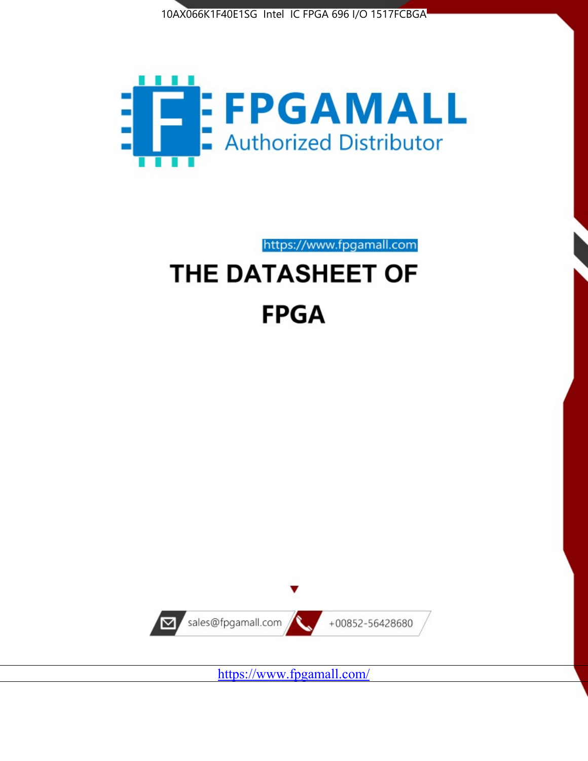



https://www.fpgamall.com THE DATASHEET OF

# **FPGA**



<https://www.fpgamall.com/>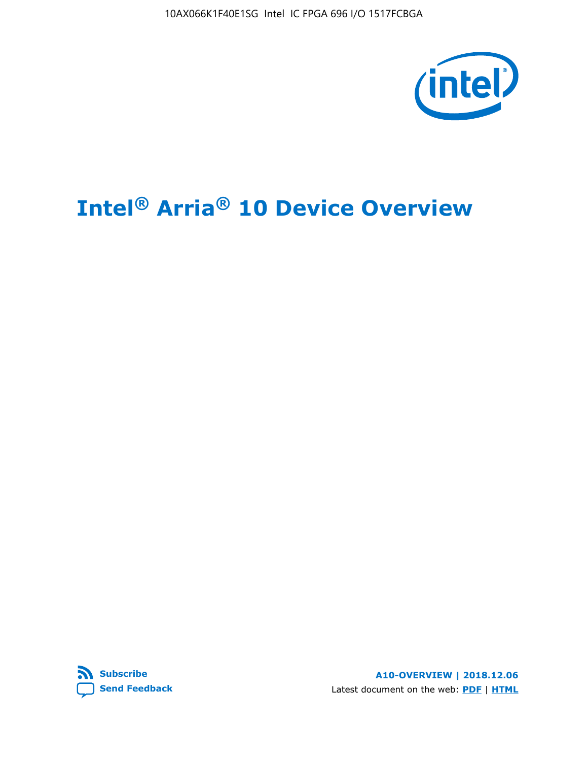10AX066K1F40E1SG Intel IC FPGA 696 I/O 1517FCBGA



# **Intel® Arria® 10 Device Overview**



**A10-OVERVIEW | 2018.12.06** Latest document on the web: **[PDF](https://www.intel.com/content/dam/www/programmable/us/en/pdfs/literature/hb/arria-10/a10_overview.pdf)** | **[HTML](https://www.intel.com/content/www/us/en/programmable/documentation/sam1403480274650.html)**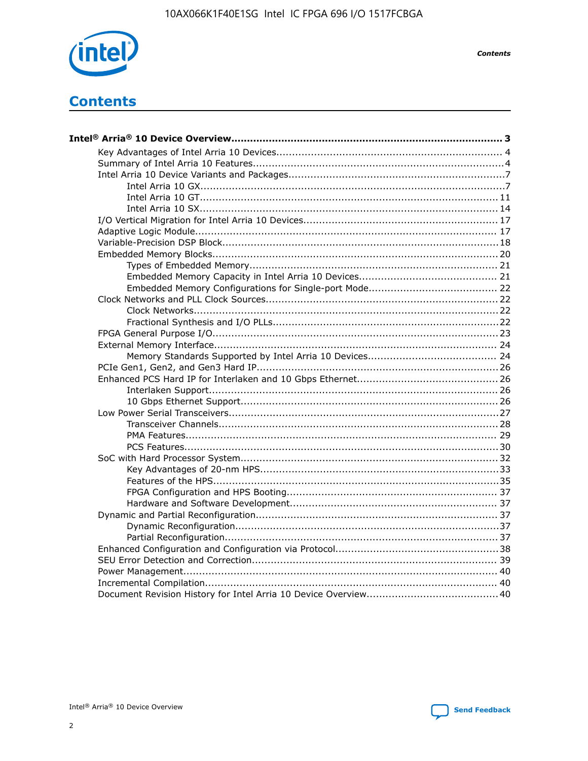

**Contents** 

## **Contents**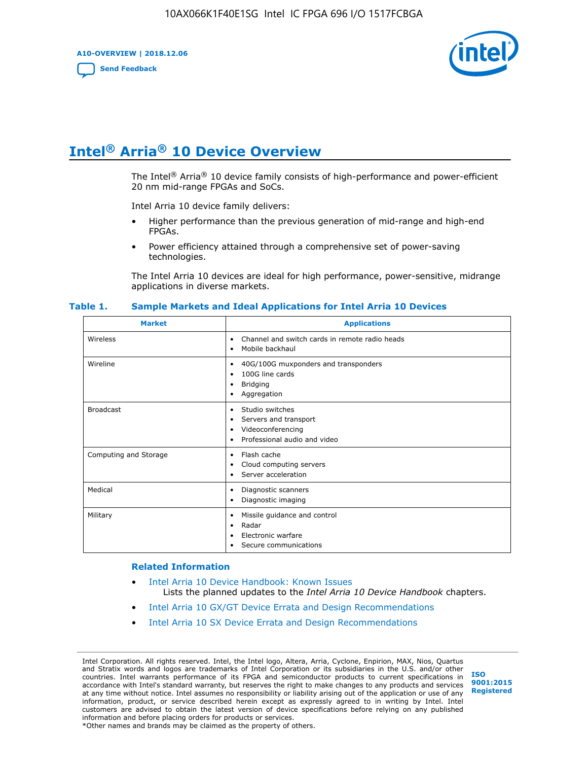**A10-OVERVIEW | 2018.12.06**

**[Send Feedback](mailto:FPGAtechdocfeedback@intel.com?subject=Feedback%20on%20Intel%20Arria%2010%20Device%20Overview%20(A10-OVERVIEW%202018.12.06)&body=We%20appreciate%20your%20feedback.%20In%20your%20comments,%20also%20specify%20the%20page%20number%20or%20paragraph.%20Thank%20you.)**



## **Intel® Arria® 10 Device Overview**

The Intel<sup>®</sup> Arria<sup>®</sup> 10 device family consists of high-performance and power-efficient 20 nm mid-range FPGAs and SoCs.

Intel Arria 10 device family delivers:

- Higher performance than the previous generation of mid-range and high-end FPGAs.
- Power efficiency attained through a comprehensive set of power-saving technologies.

The Intel Arria 10 devices are ideal for high performance, power-sensitive, midrange applications in diverse markets.

| <b>Market</b>         | <b>Applications</b>                                                                                               |
|-----------------------|-------------------------------------------------------------------------------------------------------------------|
| Wireless              | Channel and switch cards in remote radio heads<br>٠<br>Mobile backhaul<br>٠                                       |
| Wireline              | 40G/100G muxponders and transponders<br>٠<br>100G line cards<br>٠<br><b>Bridging</b><br>٠<br>Aggregation<br>٠     |
| <b>Broadcast</b>      | Studio switches<br>٠<br>Servers and transport<br>٠<br>Videoconferencing<br>٠<br>Professional audio and video<br>٠ |
| Computing and Storage | Flash cache<br>٠<br>Cloud computing servers<br>٠<br>Server acceleration<br>٠                                      |
| Medical               | Diagnostic scanners<br>٠<br>Diagnostic imaging<br>٠                                                               |
| Military              | Missile guidance and control<br>٠<br>Radar<br>٠<br>Electronic warfare<br>٠<br>Secure communications<br>٠          |

#### **Table 1. Sample Markets and Ideal Applications for Intel Arria 10 Devices**

#### **Related Information**

- [Intel Arria 10 Device Handbook: Known Issues](http://www.altera.com/support/kdb/solutions/rd07302013_646.html) Lists the planned updates to the *Intel Arria 10 Device Handbook* chapters.
- [Intel Arria 10 GX/GT Device Errata and Design Recommendations](https://www.intel.com/content/www/us/en/programmable/documentation/agz1493851706374.html#yqz1494433888646)
- [Intel Arria 10 SX Device Errata and Design Recommendations](https://www.intel.com/content/www/us/en/programmable/documentation/cru1462832385668.html#cru1462832558642)

Intel Corporation. All rights reserved. Intel, the Intel logo, Altera, Arria, Cyclone, Enpirion, MAX, Nios, Quartus and Stratix words and logos are trademarks of Intel Corporation or its subsidiaries in the U.S. and/or other countries. Intel warrants performance of its FPGA and semiconductor products to current specifications in accordance with Intel's standard warranty, but reserves the right to make changes to any products and services at any time without notice. Intel assumes no responsibility or liability arising out of the application or use of any information, product, or service described herein except as expressly agreed to in writing by Intel. Intel customers are advised to obtain the latest version of device specifications before relying on any published information and before placing orders for products or services. \*Other names and brands may be claimed as the property of others.

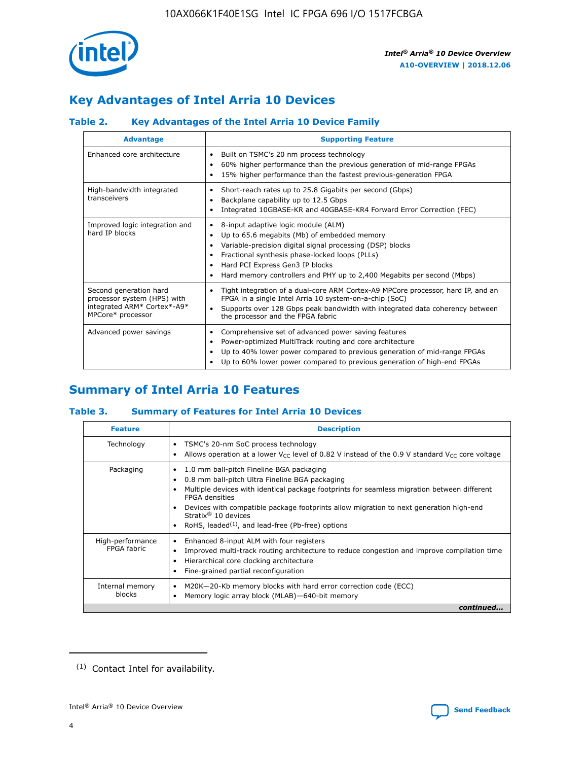

## **Key Advantages of Intel Arria 10 Devices**

#### **Table 2. Key Advantages of the Intel Arria 10 Device Family**

| <b>Advantage</b>                                                                                          | <b>Supporting Feature</b>                                                                                                                                                                                                                                                                                                |  |  |  |  |  |  |
|-----------------------------------------------------------------------------------------------------------|--------------------------------------------------------------------------------------------------------------------------------------------------------------------------------------------------------------------------------------------------------------------------------------------------------------------------|--|--|--|--|--|--|
| Enhanced core architecture                                                                                | Built on TSMC's 20 nm process technology<br>٠<br>60% higher performance than the previous generation of mid-range FPGAs<br>٠<br>15% higher performance than the fastest previous-generation FPGA<br>٠                                                                                                                    |  |  |  |  |  |  |
| High-bandwidth integrated<br>transceivers                                                                 | Short-reach rates up to 25.8 Gigabits per second (Gbps)<br>٠<br>Backplane capability up to 12.5 Gbps<br>٠<br>Integrated 10GBASE-KR and 40GBASE-KR4 Forward Error Correction (FEC)<br>٠                                                                                                                                   |  |  |  |  |  |  |
| Improved logic integration and<br>hard IP blocks                                                          | 8-input adaptive logic module (ALM)<br>٠<br>Up to 65.6 megabits (Mb) of embedded memory<br>٠<br>Variable-precision digital signal processing (DSP) blocks<br>Fractional synthesis phase-locked loops (PLLs)<br>Hard PCI Express Gen3 IP blocks<br>Hard memory controllers and PHY up to 2,400 Megabits per second (Mbps) |  |  |  |  |  |  |
| Second generation hard<br>processor system (HPS) with<br>integrated ARM* Cortex*-A9*<br>MPCore* processor | Tight integration of a dual-core ARM Cortex-A9 MPCore processor, hard IP, and an<br>٠<br>FPGA in a single Intel Arria 10 system-on-a-chip (SoC)<br>Supports over 128 Gbps peak bandwidth with integrated data coherency between<br>$\bullet$<br>the processor and the FPGA fabric                                        |  |  |  |  |  |  |
| Advanced power savings                                                                                    | Comprehensive set of advanced power saving features<br>٠<br>Power-optimized MultiTrack routing and core architecture<br>٠<br>Up to 40% lower power compared to previous generation of mid-range FPGAs<br>Up to 60% lower power compared to previous generation of high-end FPGAs                                         |  |  |  |  |  |  |

## **Summary of Intel Arria 10 Features**

#### **Table 3. Summary of Features for Intel Arria 10 Devices**

| <b>Feature</b>                  | <b>Description</b>                                                                                                                                                                                                                                                                                                                                                                                       |
|---------------------------------|----------------------------------------------------------------------------------------------------------------------------------------------------------------------------------------------------------------------------------------------------------------------------------------------------------------------------------------------------------------------------------------------------------|
| Technology                      | TSMC's 20-nm SoC process technology<br>٠<br>Allows operation at a lower $V_{\text{CC}}$ level of 0.82 V instead of the 0.9 V standard $V_{\text{CC}}$ core voltage                                                                                                                                                                                                                                       |
| Packaging                       | 1.0 mm ball-pitch Fineline BGA packaging<br>0.8 mm ball-pitch Ultra Fineline BGA packaging<br>Multiple devices with identical package footprints for seamless migration between different<br><b>FPGA</b> densities<br>Devices with compatible package footprints allow migration to next generation high-end<br>Stratix $\mathcal{R}$ 10 devices<br>RoHS, leaded $(1)$ , and lead-free (Pb-free) options |
| High-performance<br>FPGA fabric | Enhanced 8-input ALM with four registers<br>٠<br>Improved multi-track routing architecture to reduce congestion and improve compilation time<br>Hierarchical core clocking architecture<br>Fine-grained partial reconfiguration                                                                                                                                                                          |
| Internal memory<br>blocks       | M20K-20-Kb memory blocks with hard error correction code (ECC)<br>Memory logic array block (MLAB)-640-bit memory                                                                                                                                                                                                                                                                                         |
|                                 | continued                                                                                                                                                                                                                                                                                                                                                                                                |



<sup>(1)</sup> Contact Intel for availability.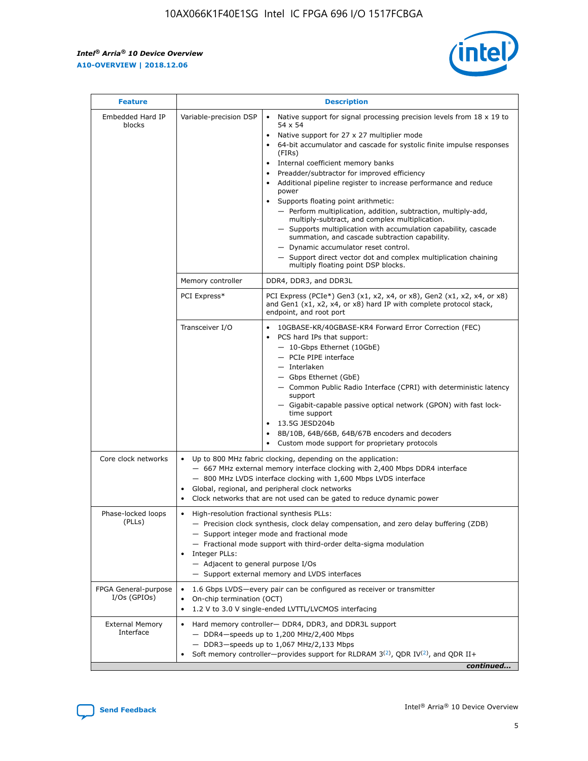$\mathsf{r}$ 



| <b>Feature</b>                         | <b>Description</b>                                                                                             |                                                                                                                                                                                                                                                                                                                                                                                                                                                                                                                                                                                                                                                                                                                                                                                                                                        |  |  |  |  |  |
|----------------------------------------|----------------------------------------------------------------------------------------------------------------|----------------------------------------------------------------------------------------------------------------------------------------------------------------------------------------------------------------------------------------------------------------------------------------------------------------------------------------------------------------------------------------------------------------------------------------------------------------------------------------------------------------------------------------------------------------------------------------------------------------------------------------------------------------------------------------------------------------------------------------------------------------------------------------------------------------------------------------|--|--|--|--|--|
| Embedded Hard IP<br>blocks             | Variable-precision DSP                                                                                         | Native support for signal processing precision levels from $18 \times 19$ to<br>54 x 54<br>Native support for 27 x 27 multiplier mode<br>64-bit accumulator and cascade for systolic finite impulse responses<br>(FIRs)<br>Internal coefficient memory banks<br>$\bullet$<br>Preadder/subtractor for improved efficiency<br>Additional pipeline register to increase performance and reduce<br>power<br>Supports floating point arithmetic:<br>- Perform multiplication, addition, subtraction, multiply-add,<br>multiply-subtract, and complex multiplication.<br>- Supports multiplication with accumulation capability, cascade<br>summation, and cascade subtraction capability.<br>- Dynamic accumulator reset control.<br>- Support direct vector dot and complex multiplication chaining<br>multiply floating point DSP blocks. |  |  |  |  |  |
|                                        | Memory controller                                                                                              | DDR4, DDR3, and DDR3L                                                                                                                                                                                                                                                                                                                                                                                                                                                                                                                                                                                                                                                                                                                                                                                                                  |  |  |  |  |  |
|                                        | PCI Express*                                                                                                   | PCI Express (PCIe*) Gen3 (x1, x2, x4, or x8), Gen2 (x1, x2, x4, or x8)<br>and Gen1 (x1, x2, x4, or x8) hard IP with complete protocol stack,<br>endpoint, and root port                                                                                                                                                                                                                                                                                                                                                                                                                                                                                                                                                                                                                                                                |  |  |  |  |  |
|                                        | Transceiver I/O                                                                                                | 10GBASE-KR/40GBASE-KR4 Forward Error Correction (FEC)<br>PCS hard IPs that support:<br>$\bullet$<br>- 10-Gbps Ethernet (10GbE)<br>- PCIe PIPE interface<br>$-$ Interlaken<br>- Gbps Ethernet (GbE)<br>- Common Public Radio Interface (CPRI) with deterministic latency<br>support<br>- Gigabit-capable passive optical network (GPON) with fast lock-<br>time support<br>13.5G JESD204b<br>$\bullet$<br>8B/10B, 64B/66B, 64B/67B encoders and decoders<br>Custom mode support for proprietary protocols                                                                                                                                                                                                                                                                                                                               |  |  |  |  |  |
| Core clock networks                    | $\bullet$<br>$\bullet$                                                                                         | Up to 800 MHz fabric clocking, depending on the application:<br>- 667 MHz external memory interface clocking with 2,400 Mbps DDR4 interface<br>- 800 MHz LVDS interface clocking with 1,600 Mbps LVDS interface<br>Global, regional, and peripheral clock networks<br>Clock networks that are not used can be gated to reduce dynamic power                                                                                                                                                                                                                                                                                                                                                                                                                                                                                            |  |  |  |  |  |
| Phase-locked loops<br>(PLLs)           | High-resolution fractional synthesis PLLs:<br>$\bullet$<br>Integer PLLs:<br>- Adjacent to general purpose I/Os | - Precision clock synthesis, clock delay compensation, and zero delay buffering (ZDB)<br>- Support integer mode and fractional mode<br>- Fractional mode support with third-order delta-sigma modulation<br>- Support external memory and LVDS interfaces                                                                                                                                                                                                                                                                                                                                                                                                                                                                                                                                                                              |  |  |  |  |  |
| FPGA General-purpose<br>$I/Os$ (GPIOs) | On-chip termination (OCT)                                                                                      | 1.6 Gbps LVDS-every pair can be configured as receiver or transmitter<br>1.2 V to 3.0 V single-ended LVTTL/LVCMOS interfacing                                                                                                                                                                                                                                                                                                                                                                                                                                                                                                                                                                                                                                                                                                          |  |  |  |  |  |
| <b>External Memory</b><br>Interface    |                                                                                                                | Hard memory controller- DDR4, DDR3, and DDR3L support<br>$-$ DDR4 $-$ speeds up to 1,200 MHz/2,400 Mbps<br>- DDR3-speeds up to 1,067 MHz/2,133 Mbps<br>Soft memory controller—provides support for RLDRAM $3^{(2)}$ , QDR IV $^{(2)}$ , and QDR II+<br>continued                                                                                                                                                                                                                                                                                                                                                                                                                                                                                                                                                                       |  |  |  |  |  |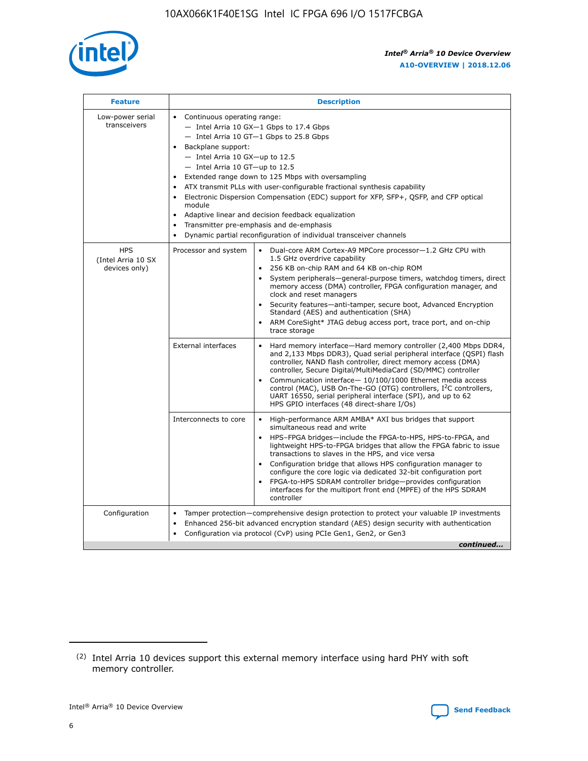

| <b>Feature</b>                                    | <b>Description</b>                                                                                                                                                                                                                                                                                                                                                                                                                                                                                                                                                                                                                             |
|---------------------------------------------------|------------------------------------------------------------------------------------------------------------------------------------------------------------------------------------------------------------------------------------------------------------------------------------------------------------------------------------------------------------------------------------------------------------------------------------------------------------------------------------------------------------------------------------------------------------------------------------------------------------------------------------------------|
| Low-power serial<br>transceivers                  | • Continuous operating range:<br>- Intel Arria 10 GX-1 Gbps to 17.4 Gbps<br>- Intel Arria 10 GT-1 Gbps to 25.8 Gbps<br>Backplane support:<br>$-$ Intel Arria 10 GX-up to 12.5<br>$-$ Intel Arria 10 GT-up to 12.5<br>Extended range down to 125 Mbps with oversampling<br>ATX transmit PLLs with user-configurable fractional synthesis capability<br>• Electronic Dispersion Compensation (EDC) support for XFP, SFP+, QSFP, and CFP optical<br>module<br>• Adaptive linear and decision feedback equalization<br>Transmitter pre-emphasis and de-emphasis<br>$\bullet$<br>Dynamic partial reconfiguration of individual transceiver channels |
| <b>HPS</b><br>(Intel Arria 10 SX<br>devices only) | Processor and system<br>Dual-core ARM Cortex-A9 MPCore processor-1.2 GHz CPU with<br>$\bullet$<br>1.5 GHz overdrive capability<br>256 KB on-chip RAM and 64 KB on-chip ROM<br>$\bullet$<br>System peripherals-general-purpose timers, watchdog timers, direct<br>memory access (DMA) controller, FPGA configuration manager, and<br>clock and reset managers<br>• Security features—anti-tamper, secure boot, Advanced Encryption<br>Standard (AES) and authentication (SHA)<br>ARM CoreSight* JTAG debug access port, trace port, and on-chip<br>trace storage                                                                                |
|                                                   | <b>External interfaces</b><br>Hard memory interface—Hard memory controller (2,400 Mbps DDR4,<br>$\bullet$<br>and 2,133 Mbps DDR3), Quad serial peripheral interface (QSPI) flash<br>controller, NAND flash controller, direct memory access (DMA)<br>controller, Secure Digital/MultiMediaCard (SD/MMC) controller<br>Communication interface-10/100/1000 Ethernet media access<br>control (MAC), USB On-The-GO (OTG) controllers, I <sup>2</sup> C controllers,<br>UART 16550, serial peripheral interface (SPI), and up to 62<br>HPS GPIO interfaces (48 direct-share I/Os)                                                                  |
|                                                   | High-performance ARM AMBA* AXI bus bridges that support<br>Interconnects to core<br>$\bullet$<br>simultaneous read and write<br>HPS-FPGA bridges—include the FPGA-to-HPS, HPS-to-FPGA, and<br>$\bullet$<br>lightweight HPS-to-FPGA bridges that allow the FPGA fabric to issue<br>transactions to slaves in the HPS, and vice versa<br>Configuration bridge that allows HPS configuration manager to<br>configure the core logic via dedicated 32-bit configuration port<br>FPGA-to-HPS SDRAM controller bridge-provides configuration<br>interfaces for the multiport front end (MPFE) of the HPS SDRAM<br>controller                         |
| Configuration                                     | Tamper protection—comprehensive design protection to protect your valuable IP investments<br>Enhanced 256-bit advanced encryption standard (AES) design security with authentication<br>$\bullet$<br>Configuration via protocol (CvP) using PCIe Gen1, Gen2, or Gen3<br>continued                                                                                                                                                                                                                                                                                                                                                              |

<sup>(2)</sup> Intel Arria 10 devices support this external memory interface using hard PHY with soft memory controller.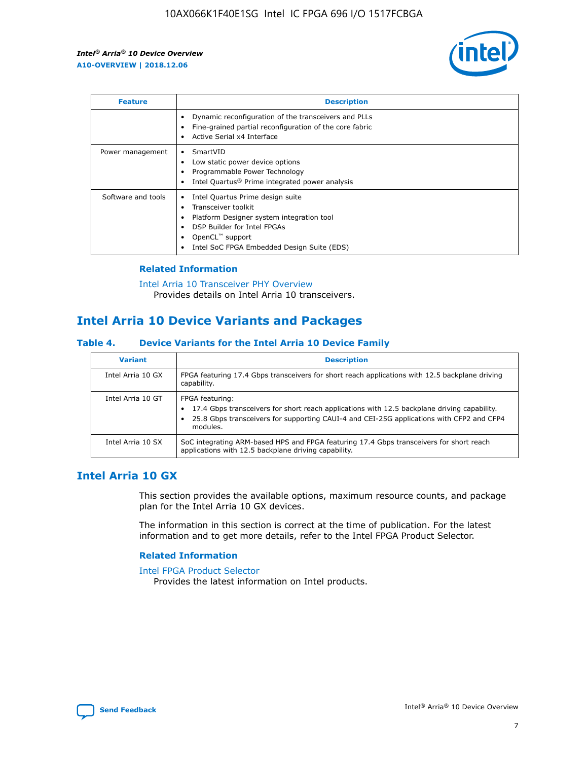

| <b>Feature</b>     | <b>Description</b>                                                                                                                                                                                               |
|--------------------|------------------------------------------------------------------------------------------------------------------------------------------------------------------------------------------------------------------|
|                    | Dynamic reconfiguration of the transceivers and PLLs<br>Fine-grained partial reconfiguration of the core fabric<br>Active Serial x4 Interface<br>$\bullet$                                                       |
| Power management   | SmartVID<br>Low static power device options<br>Programmable Power Technology<br>Intel Quartus <sup>®</sup> Prime integrated power analysis                                                                       |
| Software and tools | Intel Quartus Prime design suite<br>Transceiver toolkit<br>Platform Designer system integration tool<br>DSP Builder for Intel FPGAs<br>OpenCL <sup>™</sup> support<br>Intel SoC FPGA Embedded Design Suite (EDS) |

#### **Related Information**

[Intel Arria 10 Transceiver PHY Overview](https://www.intel.com/content/www/us/en/programmable/documentation/nik1398707230472.html#nik1398706768037) Provides details on Intel Arria 10 transceivers.

## **Intel Arria 10 Device Variants and Packages**

#### **Table 4. Device Variants for the Intel Arria 10 Device Family**

| <b>Variant</b>    | <b>Description</b>                                                                                                                                                                                                     |
|-------------------|------------------------------------------------------------------------------------------------------------------------------------------------------------------------------------------------------------------------|
| Intel Arria 10 GX | FPGA featuring 17.4 Gbps transceivers for short reach applications with 12.5 backplane driving<br>capability.                                                                                                          |
| Intel Arria 10 GT | FPGA featuring:<br>17.4 Gbps transceivers for short reach applications with 12.5 backplane driving capability.<br>25.8 Gbps transceivers for supporting CAUI-4 and CEI-25G applications with CFP2 and CFP4<br>modules. |
| Intel Arria 10 SX | SoC integrating ARM-based HPS and FPGA featuring 17.4 Gbps transceivers for short reach<br>applications with 12.5 backplane driving capability.                                                                        |

## **Intel Arria 10 GX**

This section provides the available options, maximum resource counts, and package plan for the Intel Arria 10 GX devices.

The information in this section is correct at the time of publication. For the latest information and to get more details, refer to the Intel FPGA Product Selector.

#### **Related Information**

#### [Intel FPGA Product Selector](http://www.altera.com/products/selector/psg-selector.html) Provides the latest information on Intel products.

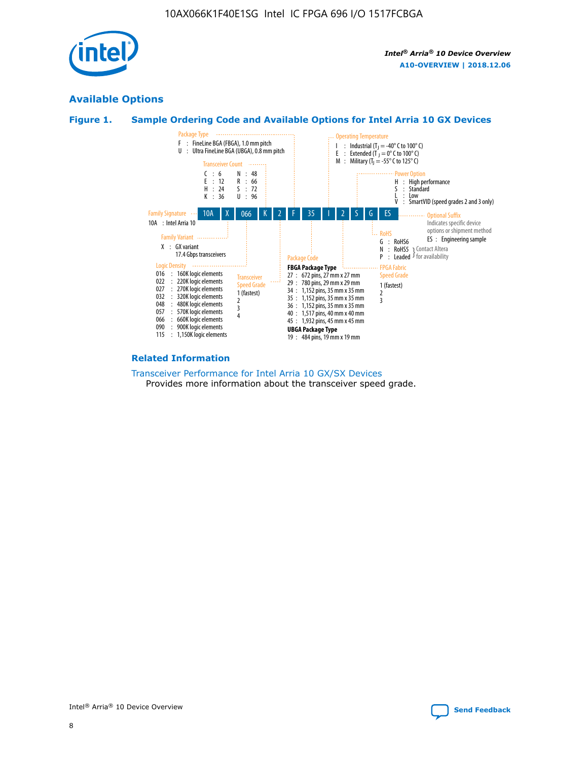

## **Available Options**





#### **Related Information**

[Transceiver Performance for Intel Arria 10 GX/SX Devices](https://www.intel.com/content/www/us/en/programmable/documentation/mcn1413182292568.html#mcn1413213965502) Provides more information about the transceiver speed grade.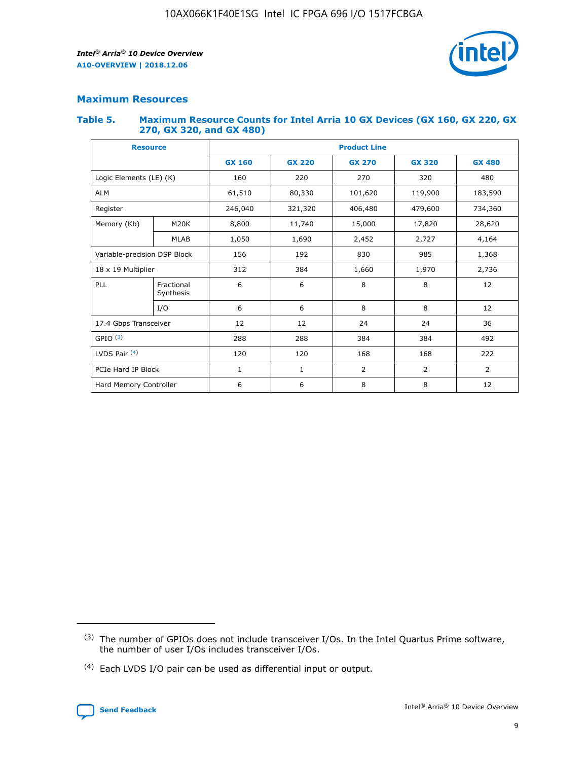

## **Maximum Resources**

#### **Table 5. Maximum Resource Counts for Intel Arria 10 GX Devices (GX 160, GX 220, GX 270, GX 320, and GX 480)**

| <b>Resource</b>         |                                                          | <b>Product Line</b> |                                                 |                |                |                |  |  |  |
|-------------------------|----------------------------------------------------------|---------------------|-------------------------------------------------|----------------|----------------|----------------|--|--|--|
|                         |                                                          | <b>GX 160</b>       | <b>GX 220</b><br><b>GX 270</b><br><b>GX 320</b> |                |                | <b>GX 480</b>  |  |  |  |
| Logic Elements (LE) (K) |                                                          | 160                 | 220                                             | 270            | 320            | 480            |  |  |  |
| <b>ALM</b>              |                                                          | 61,510              | 80,330                                          | 101,620        | 119,900        | 183,590        |  |  |  |
| Register                |                                                          | 246,040             | 321,320                                         | 406,480        | 479,600        | 734,360        |  |  |  |
| Memory (Kb)             | M <sub>20</sub> K                                        | 8,800               | 11,740<br>15,000                                |                | 17,820         | 28,620         |  |  |  |
| <b>MLAB</b>             |                                                          | 1,050               | 1,690                                           | 2,452          | 2,727          | 4,164          |  |  |  |
|                         | 985<br>Variable-precision DSP Block<br>156<br>192<br>830 |                     |                                                 |                | 1,368          |                |  |  |  |
| 18 x 19 Multiplier      |                                                          | 312                 | 384                                             | 1,660          | 1,970          | 2,736          |  |  |  |
| PLL                     | Fractional<br>Synthesis                                  | 6                   | 6                                               | 8              | 8              | 12             |  |  |  |
|                         | I/O                                                      | 6                   | 6                                               | 8              | 8              | 12             |  |  |  |
| 17.4 Gbps Transceiver   |                                                          | 12                  | 12                                              | 24             | 24             |                |  |  |  |
| GPIO <sup>(3)</sup>     |                                                          | 288                 | 288                                             | 384<br>384     |                | 492            |  |  |  |
| LVDS Pair $(4)$         |                                                          | 120                 | 120                                             | 168            | 168            | 222            |  |  |  |
| PCIe Hard IP Block      |                                                          | $\mathbf{1}$        | 1                                               | $\overline{2}$ | $\overline{2}$ | $\overline{2}$ |  |  |  |
| Hard Memory Controller  |                                                          | 6                   | 6                                               | 8              | 8              | 12             |  |  |  |

<sup>(4)</sup> Each LVDS I/O pair can be used as differential input or output.



<sup>(3)</sup> The number of GPIOs does not include transceiver I/Os. In the Intel Quartus Prime software, the number of user I/Os includes transceiver I/Os.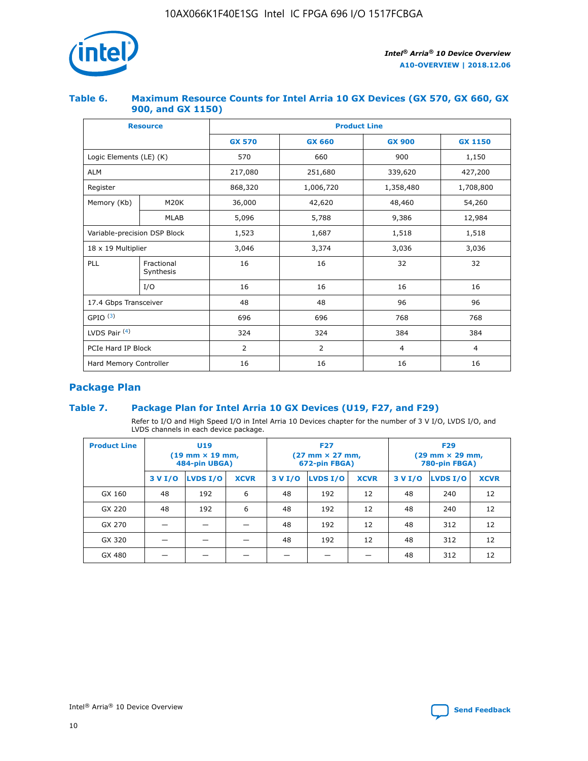

#### **Table 6. Maximum Resource Counts for Intel Arria 10 GX Devices (GX 570, GX 660, GX 900, and GX 1150)**

|                              | <b>Resource</b>         | <b>Product Line</b> |               |                |                |  |  |  |
|------------------------------|-------------------------|---------------------|---------------|----------------|----------------|--|--|--|
|                              |                         | <b>GX 570</b>       | <b>GX 660</b> | <b>GX 900</b>  | <b>GX 1150</b> |  |  |  |
| Logic Elements (LE) (K)      |                         | 570                 | 660           | 900            | 1,150          |  |  |  |
| <b>ALM</b>                   |                         | 217,080             | 251,680       | 339,620        | 427,200        |  |  |  |
| Register                     |                         | 868,320             | 1,006,720     | 1,358,480      | 1,708,800      |  |  |  |
| Memory (Kb)                  | <b>M20K</b>             | 36,000              | 42,620        | 48,460         | 54,260         |  |  |  |
|                              | <b>MLAB</b>             | 5,096               | 5,788         | 9,386          | 12,984         |  |  |  |
| Variable-precision DSP Block |                         | 1,523               | 1,687         | 1,518          | 1,518          |  |  |  |
| 18 x 19 Multiplier           |                         | 3,046               | 3,374         | 3,036          | 3,036          |  |  |  |
| PLL                          | Fractional<br>Synthesis | 16                  | 16            | 32             | 32             |  |  |  |
|                              | I/O                     | 16                  | 16            | 16             | 16             |  |  |  |
| 17.4 Gbps Transceiver        |                         | 48                  | 48            | 96             | 96             |  |  |  |
| GPIO <sup>(3)</sup>          |                         | 696                 | 696           | 768            | 768            |  |  |  |
| LVDS Pair $(4)$              |                         | 324                 | 324           | 384            | 384            |  |  |  |
| PCIe Hard IP Block           |                         | 2                   | 2             | $\overline{4}$ | 4              |  |  |  |
| Hard Memory Controller       |                         | 16                  | 16            | 16<br>16       |                |  |  |  |

## **Package Plan**

#### **Table 7. Package Plan for Intel Arria 10 GX Devices (U19, F27, and F29)**

Refer to I/O and High Speed I/O in Intel Arria 10 Devices chapter for the number of 3 V I/O, LVDS I/O, and LVDS channels in each device package.

| <b>Product Line</b> | U <sub>19</sub><br>$(19 \text{ mm} \times 19 \text{ mm})$<br>484-pin UBGA) |          |             |         | <b>F27</b><br>(27 mm × 27 mm,<br>672-pin FBGA) |             | <b>F29</b><br>(29 mm × 29 mm,<br>780-pin FBGA) |          |             |  |
|---------------------|----------------------------------------------------------------------------|----------|-------------|---------|------------------------------------------------|-------------|------------------------------------------------|----------|-------------|--|
|                     | 3 V I/O                                                                    | LVDS I/O | <b>XCVR</b> | 3 V I/O | LVDS I/O                                       | <b>XCVR</b> | 3 V I/O                                        | LVDS I/O | <b>XCVR</b> |  |
| GX 160              | 48                                                                         | 192      | 6           | 48      | 192                                            | 12          | 48                                             | 240      | 12          |  |
| GX 220              | 48                                                                         | 192      | 6           | 48      | 192                                            | 12          | 48                                             | 240      | 12          |  |
| GX 270              |                                                                            |          |             | 48      | 192                                            | 12          | 48                                             | 312      | 12          |  |
| GX 320              |                                                                            |          |             | 48      | 192                                            | 12          | 48                                             | 312      | 12          |  |
| GX 480              |                                                                            |          |             |         |                                                |             | 48                                             | 312      | 12          |  |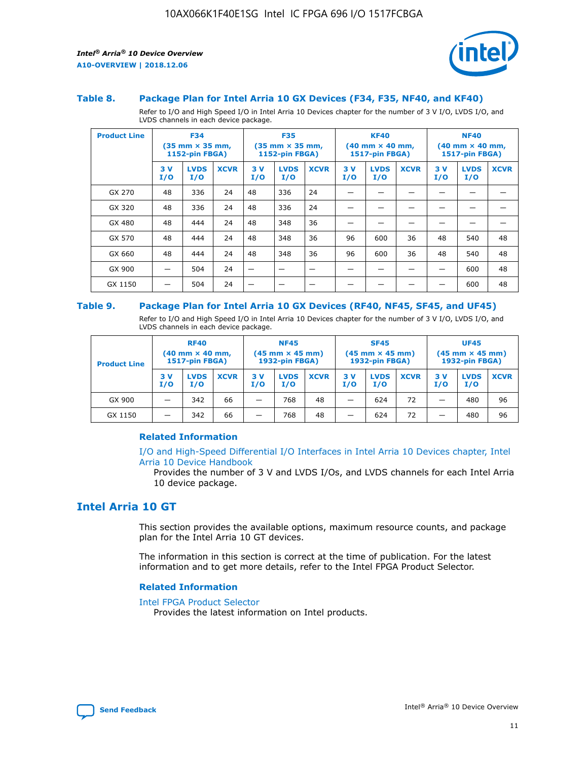

#### **Table 8. Package Plan for Intel Arria 10 GX Devices (F34, F35, NF40, and KF40)**

Refer to I/O and High Speed I/O in Intel Arria 10 Devices chapter for the number of 3 V I/O, LVDS I/O, and LVDS channels in each device package.

| <b>Product Line</b> | <b>F34</b><br>$(35 \text{ mm} \times 35 \text{ mm})$<br>1152-pin FBGA) |                    | <b>F35</b><br>$(35 \text{ mm} \times 35 \text{ mm})$<br><b>1152-pin FBGA)</b> |           | <b>KF40</b><br>$(40$ mm $\times$ 40 mm,<br>1517-pin FBGA) |             |           | <b>NF40</b><br>$(40$ mm $\times$ 40 mm,<br><b>1517-pin FBGA)</b> |             |            |                    |             |
|---------------------|------------------------------------------------------------------------|--------------------|-------------------------------------------------------------------------------|-----------|-----------------------------------------------------------|-------------|-----------|------------------------------------------------------------------|-------------|------------|--------------------|-------------|
|                     | 3V<br>I/O                                                              | <b>LVDS</b><br>I/O | <b>XCVR</b>                                                                   | 3V<br>I/O | <b>LVDS</b><br>I/O                                        | <b>XCVR</b> | 3V<br>I/O | <b>LVDS</b><br>I/O                                               | <b>XCVR</b> | 3 V<br>I/O | <b>LVDS</b><br>I/O | <b>XCVR</b> |
| GX 270              | 48                                                                     | 336                | 24                                                                            | 48        | 336                                                       | 24          |           |                                                                  |             |            |                    |             |
| GX 320              | 48                                                                     | 336                | 24                                                                            | 48        | 336                                                       | 24          |           |                                                                  |             |            |                    |             |
| GX 480              | 48                                                                     | 444                | 24                                                                            | 48        | 348                                                       | 36          |           |                                                                  |             |            |                    |             |
| GX 570              | 48                                                                     | 444                | 24                                                                            | 48        | 348                                                       | 36          | 96        | 600                                                              | 36          | 48         | 540                | 48          |
| GX 660              | 48                                                                     | 444                | 24                                                                            | 48        | 348                                                       | 36          | 96        | 600                                                              | 36          | 48         | 540                | 48          |
| GX 900              |                                                                        | 504                | 24                                                                            | -         |                                                           |             |           |                                                                  |             |            | 600                | 48          |
| GX 1150             |                                                                        | 504                | 24                                                                            |           |                                                           |             |           |                                                                  |             |            | 600                | 48          |

#### **Table 9. Package Plan for Intel Arria 10 GX Devices (RF40, NF45, SF45, and UF45)**

Refer to I/O and High Speed I/O in Intel Arria 10 Devices chapter for the number of 3 V I/O, LVDS I/O, and LVDS channels in each device package.

| <b>Product Line</b> | <b>RF40</b><br>$(40$ mm $\times$ 40 mm,<br>1517-pin FBGA) |                    | <b>NF45</b><br>$(45 \text{ mm} \times 45 \text{ mm})$<br><b>1932-pin FBGA)</b> |            |                    | <b>SF45</b><br>$(45 \text{ mm} \times 45 \text{ mm})$<br><b>1932-pin FBGA)</b> |            |                    | <b>UF45</b><br>$(45 \text{ mm} \times 45 \text{ mm})$<br><b>1932-pin FBGA)</b> |           |                    |             |
|---------------------|-----------------------------------------------------------|--------------------|--------------------------------------------------------------------------------|------------|--------------------|--------------------------------------------------------------------------------|------------|--------------------|--------------------------------------------------------------------------------|-----------|--------------------|-------------|
|                     | 3V<br>I/O                                                 | <b>LVDS</b><br>I/O | <b>XCVR</b>                                                                    | 3 V<br>I/O | <b>LVDS</b><br>I/O | <b>XCVR</b>                                                                    | 3 V<br>I/O | <b>LVDS</b><br>I/O | <b>XCVR</b>                                                                    | 3V<br>I/O | <b>LVDS</b><br>I/O | <b>XCVR</b> |
| GX 900              |                                                           | 342                | 66                                                                             | _          | 768                | 48                                                                             |            | 624                | 72                                                                             |           | 480                | 96          |
| GX 1150             |                                                           | 342                | 66                                                                             | _          | 768                | 48                                                                             |            | 624                | 72                                                                             |           | 480                | 96          |

#### **Related Information**

[I/O and High-Speed Differential I/O Interfaces in Intel Arria 10 Devices chapter, Intel](https://www.intel.com/content/www/us/en/programmable/documentation/sam1403482614086.html#sam1403482030321) [Arria 10 Device Handbook](https://www.intel.com/content/www/us/en/programmable/documentation/sam1403482614086.html#sam1403482030321)

Provides the number of 3 V and LVDS I/Os, and LVDS channels for each Intel Arria 10 device package.

## **Intel Arria 10 GT**

This section provides the available options, maximum resource counts, and package plan for the Intel Arria 10 GT devices.

The information in this section is correct at the time of publication. For the latest information and to get more details, refer to the Intel FPGA Product Selector.

#### **Related Information**

#### [Intel FPGA Product Selector](http://www.altera.com/products/selector/psg-selector.html)

Provides the latest information on Intel products.

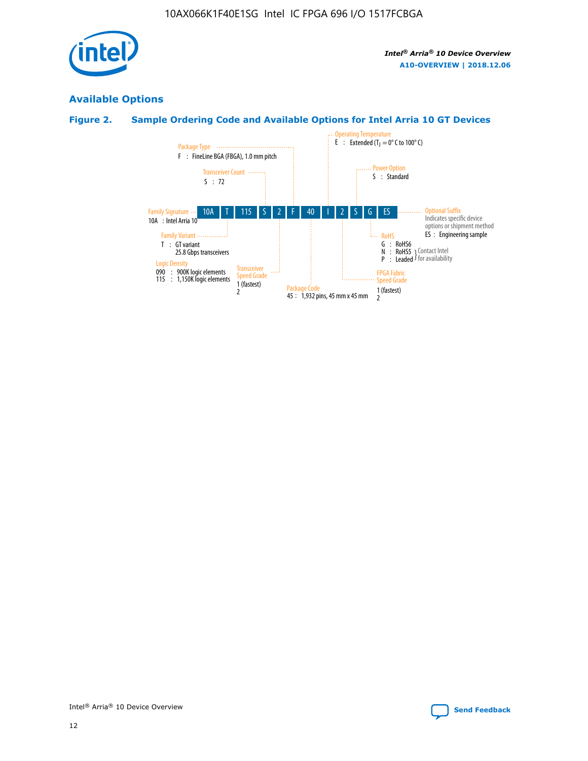

## **Available Options**

## **Figure 2. Sample Ordering Code and Available Options for Intel Arria 10 GT Devices**

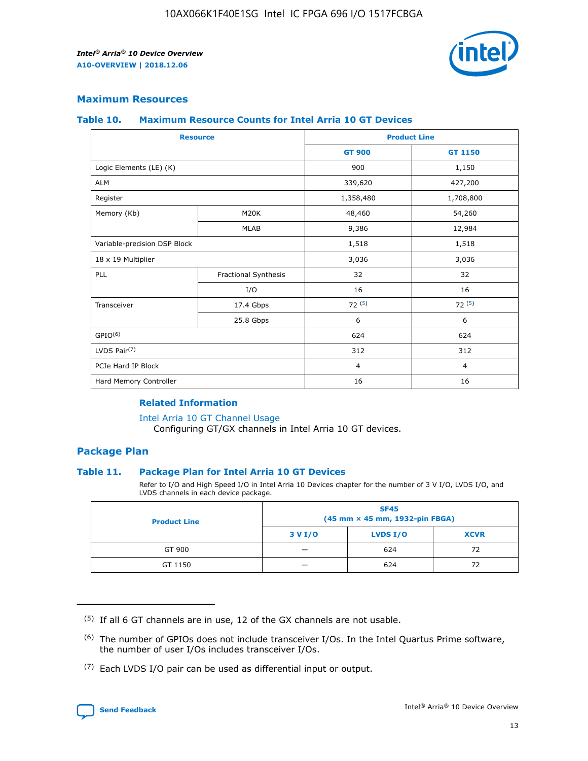

#### **Maximum Resources**

#### **Table 10. Maximum Resource Counts for Intel Arria 10 GT Devices**

| <b>Resource</b>              |                      |                | <b>Product Line</b> |  |
|------------------------------|----------------------|----------------|---------------------|--|
|                              |                      | <b>GT 900</b>  | <b>GT 1150</b>      |  |
| Logic Elements (LE) (K)      |                      | 900            | 1,150               |  |
| <b>ALM</b>                   |                      | 339,620        | 427,200             |  |
| Register                     |                      | 1,358,480      | 1,708,800           |  |
| Memory (Kb)                  | M <sub>20</sub> K    | 48,460         | 54,260              |  |
|                              | <b>MLAB</b>          | 9,386          | 12,984              |  |
| Variable-precision DSP Block |                      | 1,518          | 1,518               |  |
| 18 x 19 Multiplier           |                      | 3,036          | 3,036               |  |
| PLL                          | Fractional Synthesis | 32             | 32                  |  |
|                              | I/O                  | 16             | 16                  |  |
| Transceiver                  | 17.4 Gbps            | 72(5)          | 72(5)               |  |
|                              | 25.8 Gbps            | 6              | 6                   |  |
| GPIO <sup>(6)</sup>          |                      | 624            | 624                 |  |
| LVDS Pair $(7)$              |                      | 312            | 312                 |  |
| PCIe Hard IP Block           |                      | $\overline{4}$ | $\overline{4}$      |  |
| Hard Memory Controller       |                      | 16             | 16                  |  |

#### **Related Information**

#### [Intel Arria 10 GT Channel Usage](https://www.intel.com/content/www/us/en/programmable/documentation/nik1398707230472.html#nik1398707008178)

Configuring GT/GX channels in Intel Arria 10 GT devices.

#### **Package Plan**

#### **Table 11. Package Plan for Intel Arria 10 GT Devices**

Refer to I/O and High Speed I/O in Intel Arria 10 Devices chapter for the number of 3 V I/O, LVDS I/O, and LVDS channels in each device package.

| <b>Product Line</b> | <b>SF45</b><br>(45 mm × 45 mm, 1932-pin FBGA) |                 |             |  |  |  |
|---------------------|-----------------------------------------------|-----------------|-------------|--|--|--|
|                     | 3 V I/O                                       | <b>LVDS I/O</b> | <b>XCVR</b> |  |  |  |
| GT 900              |                                               | 624             | 72          |  |  |  |
| GT 1150             |                                               | 624             | 72          |  |  |  |

<sup>(7)</sup> Each LVDS I/O pair can be used as differential input or output.



 $(5)$  If all 6 GT channels are in use, 12 of the GX channels are not usable.

<sup>(6)</sup> The number of GPIOs does not include transceiver I/Os. In the Intel Quartus Prime software, the number of user I/Os includes transceiver I/Os.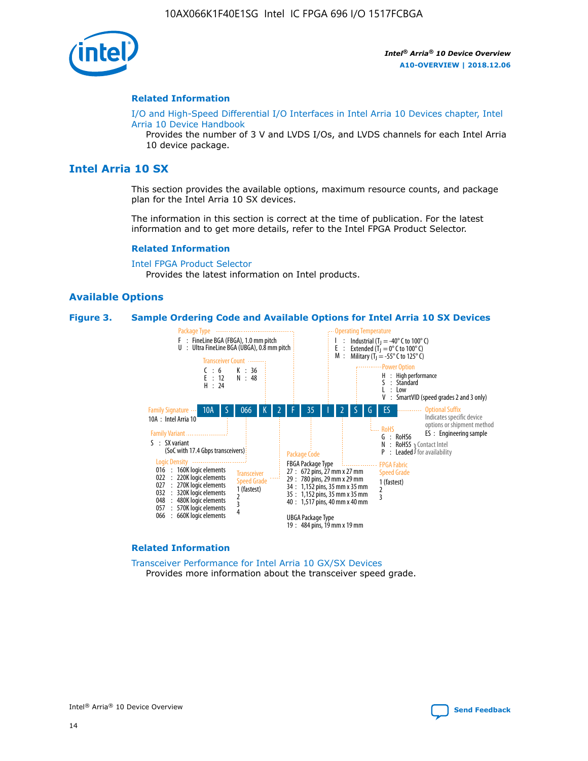

#### **Related Information**

[I/O and High-Speed Differential I/O Interfaces in Intel Arria 10 Devices chapter, Intel](https://www.intel.com/content/www/us/en/programmable/documentation/sam1403482614086.html#sam1403482030321) [Arria 10 Device Handbook](https://www.intel.com/content/www/us/en/programmable/documentation/sam1403482614086.html#sam1403482030321)

Provides the number of 3 V and LVDS I/Os, and LVDS channels for each Intel Arria 10 device package.

## **Intel Arria 10 SX**

This section provides the available options, maximum resource counts, and package plan for the Intel Arria 10 SX devices.

The information in this section is correct at the time of publication. For the latest information and to get more details, refer to the Intel FPGA Product Selector.

#### **Related Information**

[Intel FPGA Product Selector](http://www.altera.com/products/selector/psg-selector.html) Provides the latest information on Intel products.

#### **Available Options**

#### **Figure 3. Sample Ordering Code and Available Options for Intel Arria 10 SX Devices**



#### **Related Information**

[Transceiver Performance for Intel Arria 10 GX/SX Devices](https://www.intel.com/content/www/us/en/programmable/documentation/mcn1413182292568.html#mcn1413213965502) Provides more information about the transceiver speed grade.

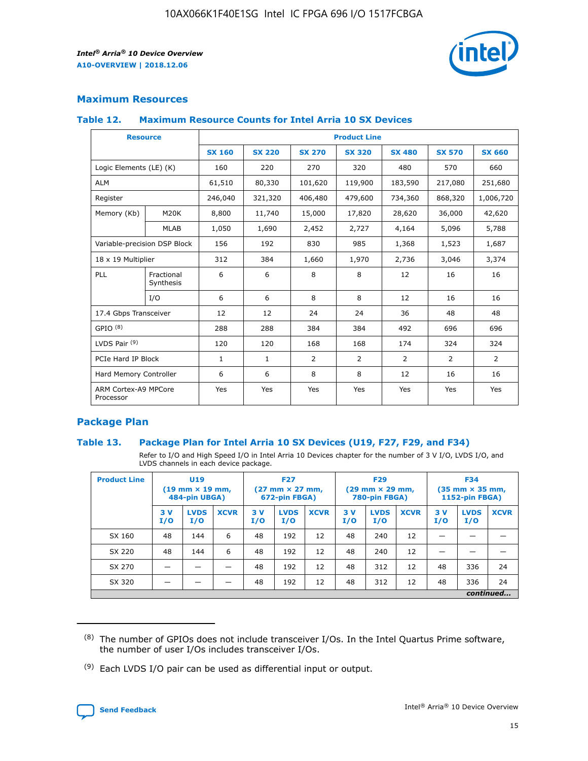

#### **Maximum Resources**

#### **Table 12. Maximum Resource Counts for Intel Arria 10 SX Devices**

| <b>Resource</b>                   |                         | <b>Product Line</b> |               |                |                |                |                |                |  |  |  |
|-----------------------------------|-------------------------|---------------------|---------------|----------------|----------------|----------------|----------------|----------------|--|--|--|
|                                   |                         | <b>SX 160</b>       | <b>SX 220</b> | <b>SX 270</b>  | <b>SX 320</b>  | <b>SX 480</b>  | <b>SX 570</b>  | <b>SX 660</b>  |  |  |  |
| Logic Elements (LE) (K)           |                         | 160                 | 220           | 270            | 320            | 480            | 570            | 660            |  |  |  |
| <b>ALM</b>                        |                         | 61,510              | 80,330        | 101,620        | 119,900        | 183,590        | 217,080        | 251,680        |  |  |  |
| Register                          |                         | 246,040             | 321,320       | 406,480        | 479,600        | 734,360        | 868,320        | 1,006,720      |  |  |  |
| Memory (Kb)                       | M <sub>20</sub> K       | 8,800               | 11,740        | 15,000         | 17,820         | 28,620         | 36,000         | 42,620         |  |  |  |
|                                   | <b>MLAB</b>             | 1,050               | 1,690         | 2,452          | 2,727          | 4,164          | 5,096          | 5,788          |  |  |  |
| Variable-precision DSP Block      |                         | 156                 | 192           | 830            | 985            | 1,368          | 1,523          | 1,687          |  |  |  |
| 18 x 19 Multiplier                |                         | 312                 | 384           | 1,660          | 1,970          | 2,736          | 3,046          | 3,374          |  |  |  |
| PLL                               | Fractional<br>Synthesis | 6                   | 6             | 8              | 8              | 12             | 16             | 16             |  |  |  |
|                                   | I/O                     | 6                   | 6             | 8              | 8              | 12             | 16             | 16             |  |  |  |
| 17.4 Gbps Transceiver             |                         | 12                  | 12            | 24             | 24             | 36             | 48             | 48             |  |  |  |
| GPIO <sup>(8)</sup>               |                         | 288                 | 288           | 384            | 384            | 492            | 696            | 696            |  |  |  |
| LVDS Pair $(9)$                   |                         | 120                 | 120           | 168            | 168            | 174            | 324            | 324            |  |  |  |
| PCIe Hard IP Block                |                         | $\mathbf{1}$        | $\mathbf{1}$  | $\overline{2}$ | $\overline{2}$ | $\overline{2}$ | $\overline{2}$ | $\overline{2}$ |  |  |  |
| Hard Memory Controller            |                         | 6                   | 6             | 8              | 8              | 12             | 16             | 16             |  |  |  |
| ARM Cortex-A9 MPCore<br>Processor |                         | Yes                 | Yes           | Yes            | Yes            | Yes            | Yes            | <b>Yes</b>     |  |  |  |

#### **Package Plan**

#### **Table 13. Package Plan for Intel Arria 10 SX Devices (U19, F27, F29, and F34)**

Refer to I/O and High Speed I/O in Intel Arria 10 Devices chapter for the number of 3 V I/O, LVDS I/O, and LVDS channels in each device package.

| <b>Product Line</b> | <b>U19</b><br>$(19 \text{ mm} \times 19 \text{ mm})$<br>484-pin UBGA) |                    | <b>F27</b><br>$(27 \text{ mm} \times 27 \text{ mm})$<br>672-pin FBGA) |           | <b>F29</b><br>$(29$ mm $\times$ 29 mm,<br>780-pin FBGA) |             |            | <b>F34</b><br>$(35 \text{ mm} \times 35 \text{ mm})$<br>1152-pin FBGA) |             |           |                    |             |
|---------------------|-----------------------------------------------------------------------|--------------------|-----------------------------------------------------------------------|-----------|---------------------------------------------------------|-------------|------------|------------------------------------------------------------------------|-------------|-----------|--------------------|-------------|
|                     | 3V<br>I/O                                                             | <b>LVDS</b><br>I/O | <b>XCVR</b>                                                           | 3V<br>I/O | <b>LVDS</b><br>I/O                                      | <b>XCVR</b> | 3 V<br>I/O | <b>LVDS</b><br>I/O                                                     | <b>XCVR</b> | 3V<br>I/O | <b>LVDS</b><br>I/O | <b>XCVR</b> |
| SX 160              | 48                                                                    | 144                | 6                                                                     | 48        | 192                                                     | 12          | 48         | 240                                                                    | 12          | –         |                    |             |
| SX 220              | 48                                                                    | 144                | 6                                                                     | 48        | 192                                                     | 12          | 48         | 240                                                                    | 12          |           |                    |             |
| SX 270              |                                                                       |                    |                                                                       | 48        | 192                                                     | 12          | 48         | 312                                                                    | 12          | 48        | 336                | 24          |
| SX 320              |                                                                       |                    |                                                                       | 48        | 192                                                     | 12          | 48         | 312                                                                    | 12          | 48        | 336                | 24          |
|                     | continued                                                             |                    |                                                                       |           |                                                         |             |            |                                                                        |             |           |                    |             |

 $(8)$  The number of GPIOs does not include transceiver I/Os. In the Intel Quartus Prime software, the number of user I/Os includes transceiver I/Os.

 $(9)$  Each LVDS I/O pair can be used as differential input or output.

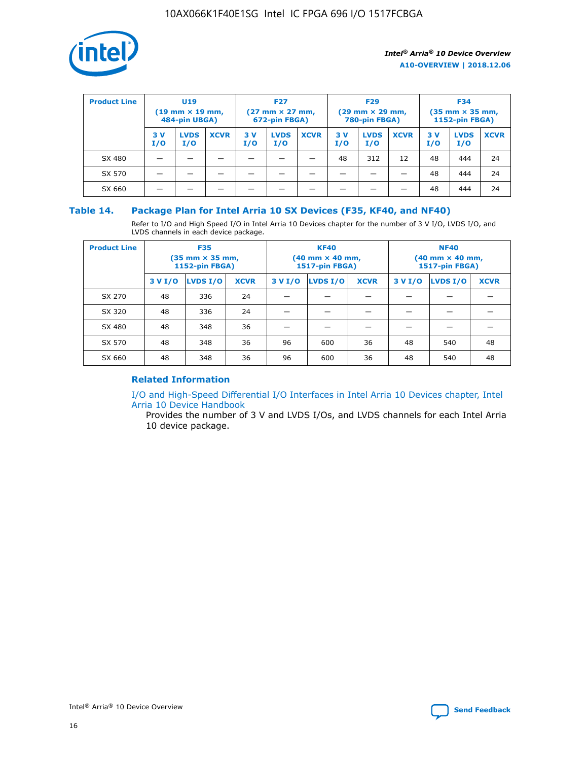

| <b>Product Line</b> | U <sub>19</sub><br>$(19 \text{ mm} \times 19 \text{ mm})$<br>484-pin UBGA) |                    | <b>F27</b><br>$(27 \text{ mm} \times 27 \text{ mm})$<br>672-pin FBGA) |           | <b>F29</b><br>$(29 \text{ mm} \times 29 \text{ mm})$<br>780-pin FBGA) |             |           | <b>F34</b><br>$(35$ mm $\times$ 35 mm,<br><b>1152-pin FBGA)</b> |             |           |                    |             |
|---------------------|----------------------------------------------------------------------------|--------------------|-----------------------------------------------------------------------|-----------|-----------------------------------------------------------------------|-------------|-----------|-----------------------------------------------------------------|-------------|-----------|--------------------|-------------|
|                     | 3V<br>I/O                                                                  | <b>LVDS</b><br>I/O | <b>XCVR</b>                                                           | 3V<br>I/O | <b>LVDS</b><br>I/O                                                    | <b>XCVR</b> | 3V<br>I/O | <b>LVDS</b><br>I/O                                              | <b>XCVR</b> | 3V<br>I/O | <b>LVDS</b><br>I/O | <b>XCVR</b> |
| SX 480              |                                                                            |                    |                                                                       |           |                                                                       |             | 48        | 312                                                             | 12          | 48        | 444                | 24          |
| SX 570              |                                                                            |                    |                                                                       |           |                                                                       |             |           |                                                                 |             | 48        | 444                | 24          |
| SX 660              |                                                                            |                    |                                                                       |           |                                                                       |             |           |                                                                 |             | 48        | 444                | 24          |

#### **Table 14. Package Plan for Intel Arria 10 SX Devices (F35, KF40, and NF40)**

Refer to I/O and High Speed I/O in Intel Arria 10 Devices chapter for the number of 3 V I/O, LVDS I/O, and LVDS channels in each device package.

| <b>Product Line</b> | <b>F35</b><br>$(35 \text{ mm} \times 35 \text{ mm})$<br><b>1152-pin FBGA)</b> |          |             |                                           | <b>KF40</b><br>(40 mm × 40 mm,<br>1517-pin FBGA) |    | <b>NF40</b><br>$(40 \text{ mm} \times 40 \text{ mm})$<br>1517-pin FBGA) |          |             |  |
|---------------------|-------------------------------------------------------------------------------|----------|-------------|-------------------------------------------|--------------------------------------------------|----|-------------------------------------------------------------------------|----------|-------------|--|
|                     | 3 V I/O                                                                       | LVDS I/O | <b>XCVR</b> | <b>LVDS I/O</b><br><b>XCVR</b><br>3 V I/O |                                                  |    | 3 V I/O                                                                 | LVDS I/O | <b>XCVR</b> |  |
| SX 270              | 48                                                                            | 336      | 24          |                                           |                                                  |    |                                                                         |          |             |  |
| SX 320              | 48                                                                            | 336      | 24          |                                           |                                                  |    |                                                                         |          |             |  |
| SX 480              | 48                                                                            | 348      | 36          |                                           |                                                  |    |                                                                         |          |             |  |
| SX 570              | 48                                                                            | 348      | 36          | 96                                        | 600                                              | 36 | 48                                                                      | 540      | 48          |  |
| SX 660              | 48                                                                            | 348      | 36          | 96                                        | 600                                              | 36 | 48                                                                      | 540      | 48          |  |

#### **Related Information**

[I/O and High-Speed Differential I/O Interfaces in Intel Arria 10 Devices chapter, Intel](https://www.intel.com/content/www/us/en/programmable/documentation/sam1403482614086.html#sam1403482030321) [Arria 10 Device Handbook](https://www.intel.com/content/www/us/en/programmable/documentation/sam1403482614086.html#sam1403482030321)

Provides the number of 3 V and LVDS I/Os, and LVDS channels for each Intel Arria 10 device package.

Intel<sup>®</sup> Arria<sup>®</sup> 10 Device Overview **[Send Feedback](mailto:FPGAtechdocfeedback@intel.com?subject=Feedback%20on%20Intel%20Arria%2010%20Device%20Overview%20(A10-OVERVIEW%202018.12.06)&body=We%20appreciate%20your%20feedback.%20In%20your%20comments,%20also%20specify%20the%20page%20number%20or%20paragraph.%20Thank%20you.)** Send Feedback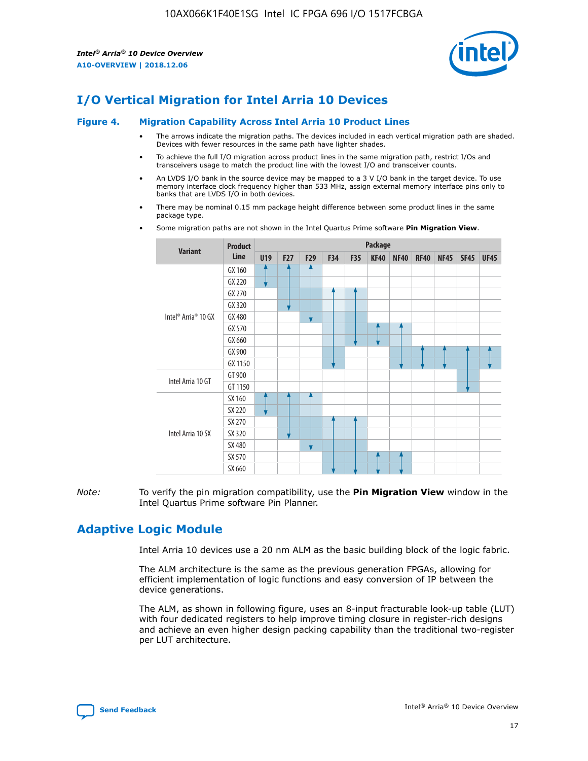

## **I/O Vertical Migration for Intel Arria 10 Devices**

#### **Figure 4. Migration Capability Across Intel Arria 10 Product Lines**

- The arrows indicate the migration paths. The devices included in each vertical migration path are shaded. Devices with fewer resources in the same path have lighter shades.
- To achieve the full I/O migration across product lines in the same migration path, restrict I/Os and transceivers usage to match the product line with the lowest I/O and transceiver counts.
- An LVDS I/O bank in the source device may be mapped to a 3 V I/O bank in the target device. To use memory interface clock frequency higher than 533 MHz, assign external memory interface pins only to banks that are LVDS I/O in both devices.
- There may be nominal 0.15 mm package height difference between some product lines in the same package type.
	- **Variant Product Line Package U19 F27 F29 F34 F35 KF40 NF40 RF40 NF45 SF45 UF45** Intel® Arria® 10 GX GX 160 GX 220 GX 270 GX 320 GX 480 GX 570 GX 660 GX 900 GX 1150 Intel Arria 10 GT GT 900 GT 1150 Intel Arria 10 SX SX 160 SX 220 SX 270 SX 320 SX 480 SX 570 SX 660
- Some migration paths are not shown in the Intel Quartus Prime software **Pin Migration View**.

*Note:* To verify the pin migration compatibility, use the **Pin Migration View** window in the Intel Quartus Prime software Pin Planner.

## **Adaptive Logic Module**

Intel Arria 10 devices use a 20 nm ALM as the basic building block of the logic fabric.

The ALM architecture is the same as the previous generation FPGAs, allowing for efficient implementation of logic functions and easy conversion of IP between the device generations.

The ALM, as shown in following figure, uses an 8-input fracturable look-up table (LUT) with four dedicated registers to help improve timing closure in register-rich designs and achieve an even higher design packing capability than the traditional two-register per LUT architecture.

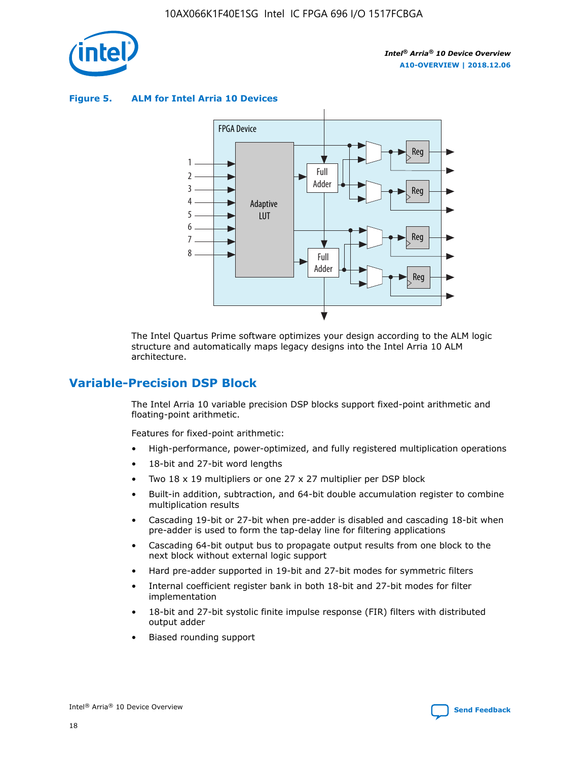

**Figure 5. ALM for Intel Arria 10 Devices**



The Intel Quartus Prime software optimizes your design according to the ALM logic structure and automatically maps legacy designs into the Intel Arria 10 ALM architecture.

## **Variable-Precision DSP Block**

The Intel Arria 10 variable precision DSP blocks support fixed-point arithmetic and floating-point arithmetic.

Features for fixed-point arithmetic:

- High-performance, power-optimized, and fully registered multiplication operations
- 18-bit and 27-bit word lengths
- Two 18 x 19 multipliers or one 27 x 27 multiplier per DSP block
- Built-in addition, subtraction, and 64-bit double accumulation register to combine multiplication results
- Cascading 19-bit or 27-bit when pre-adder is disabled and cascading 18-bit when pre-adder is used to form the tap-delay line for filtering applications
- Cascading 64-bit output bus to propagate output results from one block to the next block without external logic support
- Hard pre-adder supported in 19-bit and 27-bit modes for symmetric filters
- Internal coefficient register bank in both 18-bit and 27-bit modes for filter implementation
- 18-bit and 27-bit systolic finite impulse response (FIR) filters with distributed output adder
- Biased rounding support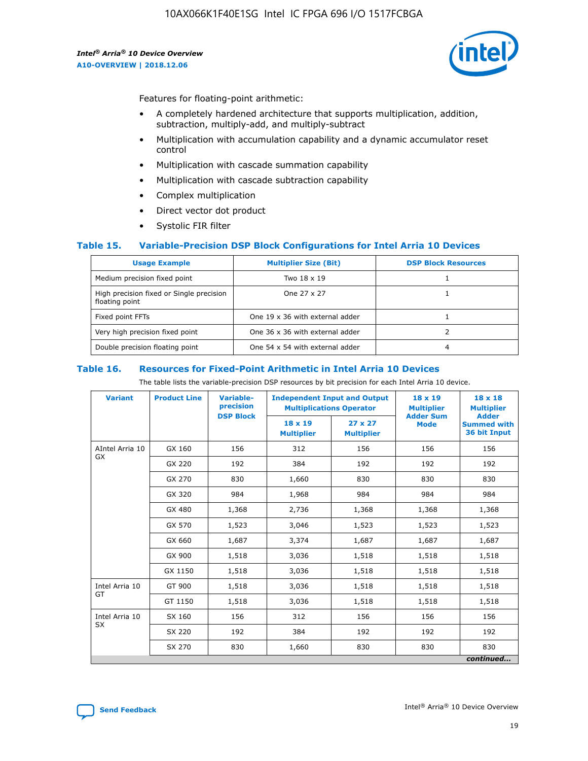

Features for floating-point arithmetic:

- A completely hardened architecture that supports multiplication, addition, subtraction, multiply-add, and multiply-subtract
- Multiplication with accumulation capability and a dynamic accumulator reset control
- Multiplication with cascade summation capability
- Multiplication with cascade subtraction capability
- Complex multiplication
- Direct vector dot product
- Systolic FIR filter

#### **Table 15. Variable-Precision DSP Block Configurations for Intel Arria 10 Devices**

| <b>Usage Example</b>                                       | <b>Multiplier Size (Bit)</b>    | <b>DSP Block Resources</b> |
|------------------------------------------------------------|---------------------------------|----------------------------|
| Medium precision fixed point                               | Two 18 x 19                     |                            |
| High precision fixed or Single precision<br>floating point | One 27 x 27                     |                            |
| Fixed point FFTs                                           | One 19 x 36 with external adder |                            |
| Very high precision fixed point                            | One 36 x 36 with external adder |                            |
| Double precision floating point                            | One 54 x 54 with external adder | 4                          |

#### **Table 16. Resources for Fixed-Point Arithmetic in Intel Arria 10 Devices**

The table lists the variable-precision DSP resources by bit precision for each Intel Arria 10 device.

| <b>Variant</b>  | <b>Product Line</b> | <b>Variable-</b><br>precision<br><b>DSP Block</b> | <b>Independent Input and Output</b><br><b>Multiplications Operator</b> |                                     | 18 x 19<br><b>Multiplier</b><br><b>Adder Sum</b> | $18 \times 18$<br><b>Multiplier</b><br><b>Adder</b> |
|-----------------|---------------------|---------------------------------------------------|------------------------------------------------------------------------|-------------------------------------|--------------------------------------------------|-----------------------------------------------------|
|                 |                     |                                                   | 18 x 19<br><b>Multiplier</b>                                           | $27 \times 27$<br><b>Multiplier</b> | <b>Mode</b>                                      | <b>Summed with</b><br>36 bit Input                  |
| AIntel Arria 10 | GX 160              | 156                                               | 312                                                                    | 156                                 | 156                                              | 156                                                 |
| GX              | GX 220              | 192                                               | 384                                                                    | 192                                 | 192                                              | 192                                                 |
|                 | GX 270              | 830                                               | 1,660                                                                  | 830                                 | 830                                              | 830                                                 |
|                 | GX 320              | 984                                               | 1,968                                                                  | 984                                 | 984                                              | 984                                                 |
|                 | GX 480              | 1,368                                             | 2,736                                                                  | 1,368                               | 1,368                                            | 1,368                                               |
|                 | GX 570              | 1,523                                             | 3,046                                                                  | 1,523                               | 1,523                                            | 1,523                                               |
|                 | GX 660              | 1,687                                             | 3,374                                                                  | 1,687                               | 1,687                                            | 1,687                                               |
|                 | GX 900              | 1,518                                             | 3,036                                                                  | 1,518                               | 1,518                                            | 1,518                                               |
|                 | GX 1150             | 1,518                                             | 3,036                                                                  | 1,518                               | 1,518                                            | 1,518                                               |
| Intel Arria 10  | GT 900              | 1,518                                             | 3,036                                                                  | 1,518                               | 1,518                                            | 1,518                                               |
| GT              | GT 1150             | 1,518                                             | 3,036                                                                  | 1,518                               | 1,518                                            | 1,518                                               |
| Intel Arria 10  | SX 160              | 156                                               | 312                                                                    | 156                                 | 156                                              | 156                                                 |
| <b>SX</b>       | SX 220              | 192                                               | 384                                                                    | 192                                 | 192                                              | 192                                                 |
|                 | SX 270              | 830                                               | 1,660                                                                  | 830                                 | 830                                              | 830                                                 |
|                 |                     |                                                   |                                                                        |                                     |                                                  | continued                                           |

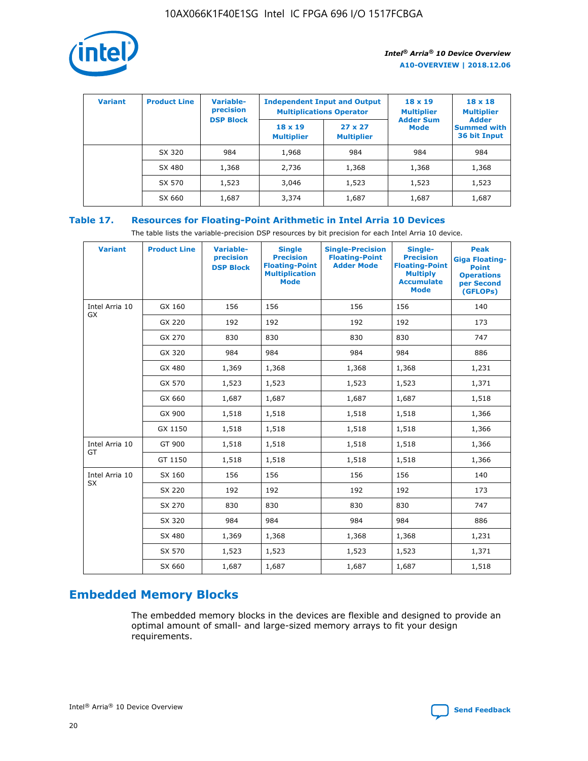

| <b>Variant</b> | <b>Product Line</b> | Variable-<br>precision | <b>Independent Input and Output</b><br><b>Multiplications Operator</b> |                                     | $18 \times 19$<br><b>Multiplier</b> | $18 \times 18$<br><b>Multiplier</b><br><b>Adder</b> |  |
|----------------|---------------------|------------------------|------------------------------------------------------------------------|-------------------------------------|-------------------------------------|-----------------------------------------------------|--|
|                |                     | <b>DSP Block</b>       | $18 \times 19$<br><b>Multiplier</b>                                    | $27 \times 27$<br><b>Multiplier</b> | <b>Adder Sum</b><br><b>Mode</b>     | <b>Summed with</b><br>36 bit Input                  |  |
|                | SX 320              | 984                    | 1,968                                                                  | 984                                 | 984                                 | 984                                                 |  |
|                | SX 480              | 1,368                  | 2,736                                                                  | 1,368                               | 1,368                               | 1,368                                               |  |
|                | SX 570              | 1,523                  | 3,046                                                                  | 1,523                               | 1,523                               | 1,523                                               |  |
|                | SX 660              | 1,687                  | 3,374                                                                  | 1,687                               | 1,687                               | 1,687                                               |  |

## **Table 17. Resources for Floating-Point Arithmetic in Intel Arria 10 Devices**

The table lists the variable-precision DSP resources by bit precision for each Intel Arria 10 device.

| <b>Variant</b>              | <b>Product Line</b> | <b>Variable-</b><br>precision<br><b>DSP Block</b> | <b>Single</b><br><b>Precision</b><br><b>Floating-Point</b><br><b>Multiplication</b><br><b>Mode</b> | <b>Single-Precision</b><br><b>Floating-Point</b><br><b>Adder Mode</b> | Single-<br><b>Precision</b><br><b>Floating-Point</b><br><b>Multiply</b><br><b>Accumulate</b><br><b>Mode</b> | <b>Peak</b><br><b>Giga Floating-</b><br><b>Point</b><br><b>Operations</b><br>per Second<br>(GFLOPs) |
|-----------------------------|---------------------|---------------------------------------------------|----------------------------------------------------------------------------------------------------|-----------------------------------------------------------------------|-------------------------------------------------------------------------------------------------------------|-----------------------------------------------------------------------------------------------------|
| Intel Arria 10<br>GX        | GX 160              | 156                                               | 156                                                                                                | 156                                                                   | 156                                                                                                         | 140                                                                                                 |
|                             | GX 220              | 192                                               | 192                                                                                                | 192                                                                   | 192                                                                                                         | 173                                                                                                 |
|                             | GX 270              | 830                                               | 830                                                                                                | 830                                                                   | 830                                                                                                         | 747                                                                                                 |
|                             | GX 320              | 984                                               | 984                                                                                                | 984                                                                   | 984                                                                                                         | 886                                                                                                 |
|                             | GX 480              | 1,369                                             | 1,368                                                                                              | 1,368                                                                 | 1,368                                                                                                       | 1,231                                                                                               |
|                             | GX 570              | 1,523                                             | 1,523                                                                                              | 1,523                                                                 | 1,523                                                                                                       | 1,371                                                                                               |
|                             | GX 660              | 1,687                                             | 1,687                                                                                              | 1,687                                                                 | 1,687                                                                                                       | 1,518                                                                                               |
|                             | GX 900              | 1,518                                             | 1,518                                                                                              | 1,518                                                                 | 1,518                                                                                                       | 1,366                                                                                               |
|                             | GX 1150             | 1,518                                             | 1,518                                                                                              | 1,518                                                                 | 1,518                                                                                                       | 1,366                                                                                               |
| Intel Arria 10              | GT 900              | 1,518                                             | 1,518                                                                                              | 1,518                                                                 | 1,518                                                                                                       | 1,366                                                                                               |
| GT                          | GT 1150             | 1,518                                             | 1,518                                                                                              | 1,518                                                                 | 1,518                                                                                                       | 1,366                                                                                               |
| Intel Arria 10<br><b>SX</b> | SX 160              | 156                                               | 156                                                                                                | 156                                                                   | 156                                                                                                         | 140                                                                                                 |
|                             | SX 220              | 192                                               | 192                                                                                                | 192                                                                   | 192                                                                                                         | 173                                                                                                 |
|                             | SX 270              | 830                                               | 830                                                                                                | 830                                                                   | 830                                                                                                         | 747                                                                                                 |
|                             | SX 320              | 984                                               | 984                                                                                                | 984                                                                   | 984                                                                                                         | 886                                                                                                 |
|                             | SX 480              | 1,369                                             | 1,368                                                                                              | 1,368                                                                 | 1,368                                                                                                       | 1,231                                                                                               |
|                             | SX 570              | 1,523                                             | 1,523                                                                                              | 1,523                                                                 | 1,523                                                                                                       | 1,371                                                                                               |
|                             | SX 660              | 1,687                                             | 1,687                                                                                              | 1,687                                                                 | 1,687                                                                                                       | 1,518                                                                                               |

## **Embedded Memory Blocks**

The embedded memory blocks in the devices are flexible and designed to provide an optimal amount of small- and large-sized memory arrays to fit your design requirements.

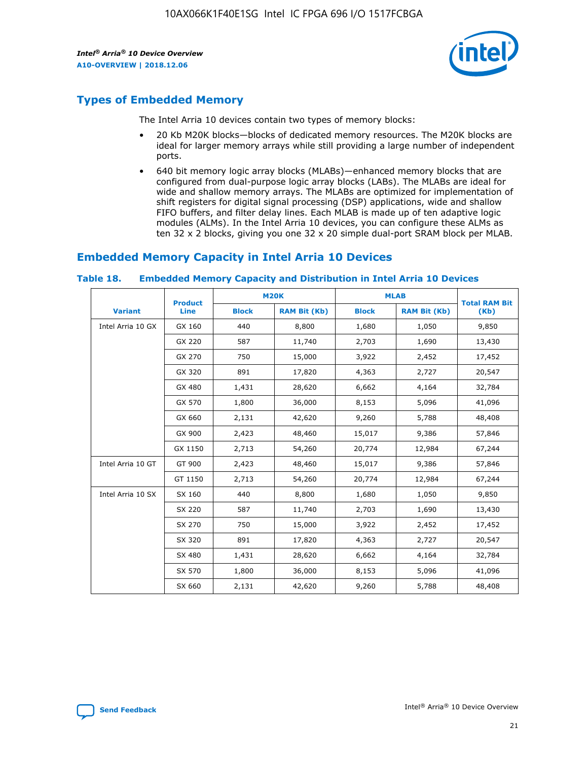

## **Types of Embedded Memory**

The Intel Arria 10 devices contain two types of memory blocks:

- 20 Kb M20K blocks—blocks of dedicated memory resources. The M20K blocks are ideal for larger memory arrays while still providing a large number of independent ports.
- 640 bit memory logic array blocks (MLABs)—enhanced memory blocks that are configured from dual-purpose logic array blocks (LABs). The MLABs are ideal for wide and shallow memory arrays. The MLABs are optimized for implementation of shift registers for digital signal processing (DSP) applications, wide and shallow FIFO buffers, and filter delay lines. Each MLAB is made up of ten adaptive logic modules (ALMs). In the Intel Arria 10 devices, you can configure these ALMs as ten 32 x 2 blocks, giving you one 32 x 20 simple dual-port SRAM block per MLAB.

## **Embedded Memory Capacity in Intel Arria 10 Devices**

|                   | <b>Product</b> | <b>M20K</b>  |                     | <b>MLAB</b>  |                     | <b>Total RAM Bit</b> |
|-------------------|----------------|--------------|---------------------|--------------|---------------------|----------------------|
| <b>Variant</b>    | <b>Line</b>    | <b>Block</b> | <b>RAM Bit (Kb)</b> | <b>Block</b> | <b>RAM Bit (Kb)</b> | (Kb)                 |
| Intel Arria 10 GX | GX 160         | 440          | 8,800               | 1,680        | 1,050               | 9,850                |
|                   | GX 220         | 587          | 11,740              | 2,703        | 1,690               | 13,430               |
|                   | GX 270         | 750          | 15,000              | 3,922        | 2,452               | 17,452               |
|                   | GX 320         | 891          | 17,820              | 4,363        | 2,727               | 20,547               |
|                   | GX 480         | 1,431        | 28,620              | 6,662        | 4,164               | 32,784               |
|                   | GX 570         | 1,800        | 36,000              | 8,153        | 5,096               | 41,096               |
|                   | GX 660         | 2,131        | 42,620              | 9,260        | 5,788               | 48,408               |
|                   | GX 900         | 2,423        | 48,460              | 15,017       | 9,386               | 57,846               |
|                   | GX 1150        | 2,713        | 54,260              | 20,774       | 12,984              | 67,244               |
| Intel Arria 10 GT | GT 900         | 2,423        | 48,460              | 15,017       | 9,386               | 57,846               |
|                   | GT 1150        | 2,713        | 54,260              | 20,774       | 12,984              | 67,244               |
| Intel Arria 10 SX | SX 160         | 440          | 8,800               | 1,680        | 1,050               | 9,850                |
|                   | SX 220         | 587          | 11,740              | 2,703        | 1,690               | 13,430               |
|                   | SX 270         | 750          | 15,000              | 3,922        | 2,452               | 17,452               |
|                   | SX 320         | 891          | 17,820              | 4,363        | 2,727               | 20,547               |
|                   | SX 480         | 1,431        | 28,620              | 6,662        | 4,164               | 32,784               |
|                   | SX 570         | 1,800        | 36,000              | 8,153        | 5,096               | 41,096               |
|                   | SX 660         | 2,131        | 42,620              | 9,260        | 5,788               | 48,408               |

#### **Table 18. Embedded Memory Capacity and Distribution in Intel Arria 10 Devices**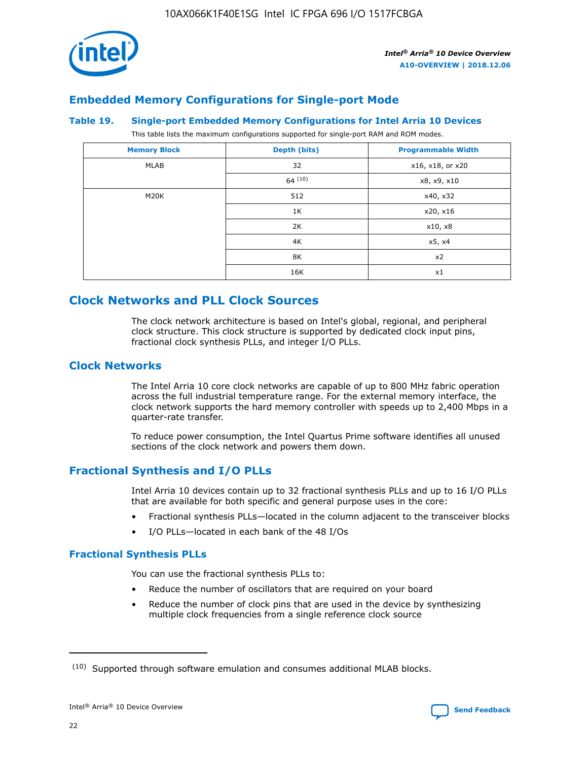

## **Embedded Memory Configurations for Single-port Mode**

#### **Table 19. Single-port Embedded Memory Configurations for Intel Arria 10 Devices**

This table lists the maximum configurations supported for single-port RAM and ROM modes.

| <b>Memory Block</b> | Depth (bits) | <b>Programmable Width</b> |
|---------------------|--------------|---------------------------|
| MLAB                | 32           | x16, x18, or x20          |
|                     | 64(10)       | x8, x9, x10               |
| M20K                | 512          | x40, x32                  |
|                     | 1K           | x20, x16                  |
|                     | 2K           | x10, x8                   |
|                     | 4K           | x5, x4                    |
|                     | 8K           | x2                        |
|                     | 16K          | x1                        |

## **Clock Networks and PLL Clock Sources**

The clock network architecture is based on Intel's global, regional, and peripheral clock structure. This clock structure is supported by dedicated clock input pins, fractional clock synthesis PLLs, and integer I/O PLLs.

#### **Clock Networks**

The Intel Arria 10 core clock networks are capable of up to 800 MHz fabric operation across the full industrial temperature range. For the external memory interface, the clock network supports the hard memory controller with speeds up to 2,400 Mbps in a quarter-rate transfer.

To reduce power consumption, the Intel Quartus Prime software identifies all unused sections of the clock network and powers them down.

#### **Fractional Synthesis and I/O PLLs**

Intel Arria 10 devices contain up to 32 fractional synthesis PLLs and up to 16 I/O PLLs that are available for both specific and general purpose uses in the core:

- Fractional synthesis PLLs—located in the column adjacent to the transceiver blocks
- I/O PLLs—located in each bank of the 48 I/Os

#### **Fractional Synthesis PLLs**

You can use the fractional synthesis PLLs to:

- Reduce the number of oscillators that are required on your board
- Reduce the number of clock pins that are used in the device by synthesizing multiple clock frequencies from a single reference clock source

<sup>(10)</sup> Supported through software emulation and consumes additional MLAB blocks.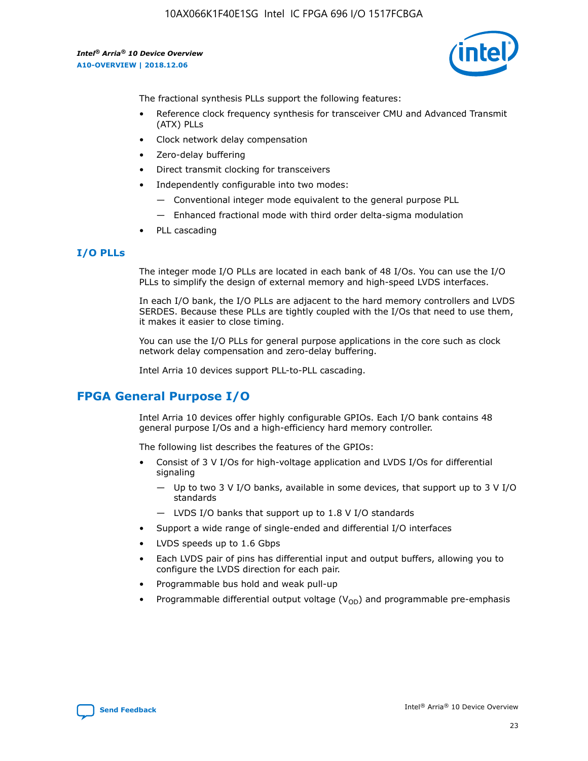10AX066K1F40E1SG Intel IC FPGA 696 I/O 1517FCBGA

*Intel® Arria® 10 Device Overview* **A10-OVERVIEW | 2018.12.06**



The fractional synthesis PLLs support the following features:

- Reference clock frequency synthesis for transceiver CMU and Advanced Transmit (ATX) PLLs
- Clock network delay compensation
- Zero-delay buffering
- Direct transmit clocking for transceivers
- Independently configurable into two modes:
	- Conventional integer mode equivalent to the general purpose PLL
	- Enhanced fractional mode with third order delta-sigma modulation
- PLL cascading

#### **I/O PLLs**

The integer mode I/O PLLs are located in each bank of 48 I/Os. You can use the I/O PLLs to simplify the design of external memory and high-speed LVDS interfaces.

In each I/O bank, the I/O PLLs are adjacent to the hard memory controllers and LVDS SERDES. Because these PLLs are tightly coupled with the I/Os that need to use them, it makes it easier to close timing.

You can use the I/O PLLs for general purpose applications in the core such as clock network delay compensation and zero-delay buffering.

Intel Arria 10 devices support PLL-to-PLL cascading.

## **FPGA General Purpose I/O**

Intel Arria 10 devices offer highly configurable GPIOs. Each I/O bank contains 48 general purpose I/Os and a high-efficiency hard memory controller.

The following list describes the features of the GPIOs:

- Consist of 3 V I/Os for high-voltage application and LVDS I/Os for differential signaling
	- Up to two 3 V I/O banks, available in some devices, that support up to 3 V I/O standards
	- LVDS I/O banks that support up to 1.8 V I/O standards
- Support a wide range of single-ended and differential I/O interfaces
- LVDS speeds up to 1.6 Gbps
- Each LVDS pair of pins has differential input and output buffers, allowing you to configure the LVDS direction for each pair.
- Programmable bus hold and weak pull-up
- Programmable differential output voltage  $(V_{OD})$  and programmable pre-emphasis

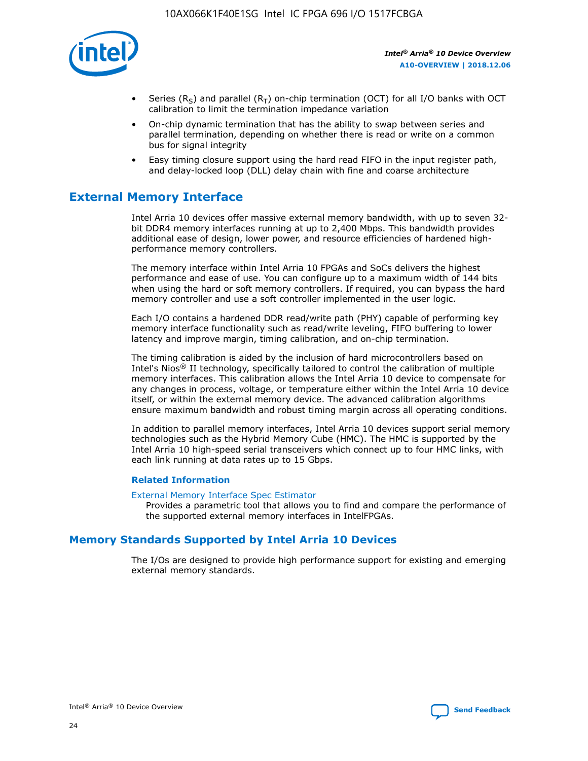

- Series (R<sub>S</sub>) and parallel (R<sub>T</sub>) on-chip termination (OCT) for all I/O banks with OCT calibration to limit the termination impedance variation
- On-chip dynamic termination that has the ability to swap between series and parallel termination, depending on whether there is read or write on a common bus for signal integrity
- Easy timing closure support using the hard read FIFO in the input register path, and delay-locked loop (DLL) delay chain with fine and coarse architecture

## **External Memory Interface**

Intel Arria 10 devices offer massive external memory bandwidth, with up to seven 32 bit DDR4 memory interfaces running at up to 2,400 Mbps. This bandwidth provides additional ease of design, lower power, and resource efficiencies of hardened highperformance memory controllers.

The memory interface within Intel Arria 10 FPGAs and SoCs delivers the highest performance and ease of use. You can configure up to a maximum width of 144 bits when using the hard or soft memory controllers. If required, you can bypass the hard memory controller and use a soft controller implemented in the user logic.

Each I/O contains a hardened DDR read/write path (PHY) capable of performing key memory interface functionality such as read/write leveling, FIFO buffering to lower latency and improve margin, timing calibration, and on-chip termination.

The timing calibration is aided by the inclusion of hard microcontrollers based on Intel's Nios® II technology, specifically tailored to control the calibration of multiple memory interfaces. This calibration allows the Intel Arria 10 device to compensate for any changes in process, voltage, or temperature either within the Intel Arria 10 device itself, or within the external memory device. The advanced calibration algorithms ensure maximum bandwidth and robust timing margin across all operating conditions.

In addition to parallel memory interfaces, Intel Arria 10 devices support serial memory technologies such as the Hybrid Memory Cube (HMC). The HMC is supported by the Intel Arria 10 high-speed serial transceivers which connect up to four HMC links, with each link running at data rates up to 15 Gbps.

#### **Related Information**

#### [External Memory Interface Spec Estimator](http://www.altera.com/technology/memory/estimator/mem-emif-index.html)

Provides a parametric tool that allows you to find and compare the performance of the supported external memory interfaces in IntelFPGAs.

## **Memory Standards Supported by Intel Arria 10 Devices**

The I/Os are designed to provide high performance support for existing and emerging external memory standards.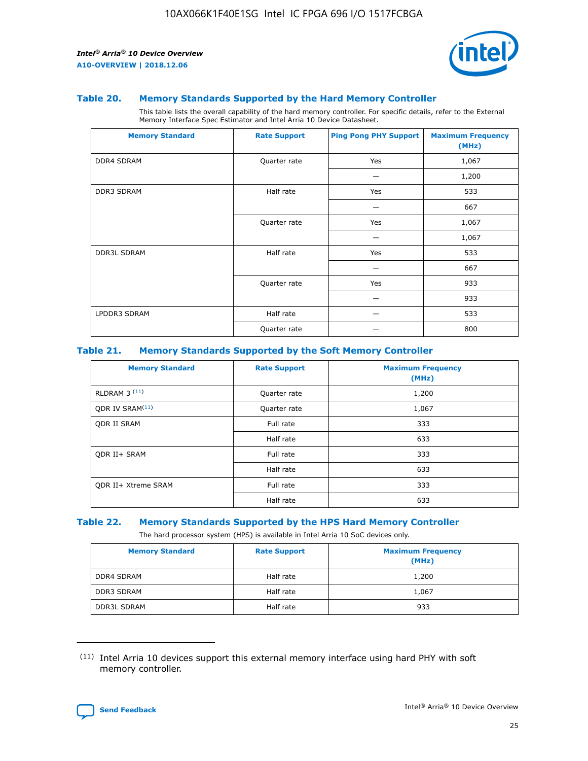

#### **Table 20. Memory Standards Supported by the Hard Memory Controller**

This table lists the overall capability of the hard memory controller. For specific details, refer to the External Memory Interface Spec Estimator and Intel Arria 10 Device Datasheet.

| <b>Memory Standard</b> | <b>Rate Support</b> | <b>Ping Pong PHY Support</b> | <b>Maximum Frequency</b><br>(MHz) |
|------------------------|---------------------|------------------------------|-----------------------------------|
| <b>DDR4 SDRAM</b>      | Quarter rate        | Yes                          | 1,067                             |
|                        |                     |                              | 1,200                             |
| DDR3 SDRAM             | Half rate           | Yes                          | 533                               |
|                        |                     |                              | 667                               |
|                        | Quarter rate        | Yes                          | 1,067                             |
|                        |                     |                              | 1,067                             |
| <b>DDR3L SDRAM</b>     | Half rate           | Yes                          | 533                               |
|                        |                     |                              | 667                               |
|                        | Quarter rate        | Yes                          | 933                               |
|                        |                     |                              | 933                               |
| LPDDR3 SDRAM           | Half rate           |                              | 533                               |
|                        | Quarter rate        |                              | 800                               |

#### **Table 21. Memory Standards Supported by the Soft Memory Controller**

| <b>Memory Standard</b>      | <b>Rate Support</b> | <b>Maximum Frequency</b><br>(MHz) |
|-----------------------------|---------------------|-----------------------------------|
| <b>RLDRAM 3 (11)</b>        | Quarter rate        | 1,200                             |
| ODR IV SRAM <sup>(11)</sup> | Quarter rate        | 1,067                             |
| <b>ODR II SRAM</b>          | Full rate           | 333                               |
|                             | Half rate           | 633                               |
| <b>ODR II+ SRAM</b>         | Full rate           | 333                               |
|                             | Half rate           | 633                               |
| <b>ODR II+ Xtreme SRAM</b>  | Full rate           | 333                               |
|                             | Half rate           | 633                               |

#### **Table 22. Memory Standards Supported by the HPS Hard Memory Controller**

The hard processor system (HPS) is available in Intel Arria 10 SoC devices only.

| <b>Memory Standard</b> | <b>Rate Support</b> | <b>Maximum Frequency</b><br>(MHz) |
|------------------------|---------------------|-----------------------------------|
| DDR4 SDRAM             | Half rate           | 1,200                             |
| <b>DDR3 SDRAM</b>      | Half rate           | 1,067                             |
| <b>DDR3L SDRAM</b>     | Half rate           | 933                               |

<sup>(11)</sup> Intel Arria 10 devices support this external memory interface using hard PHY with soft memory controller.

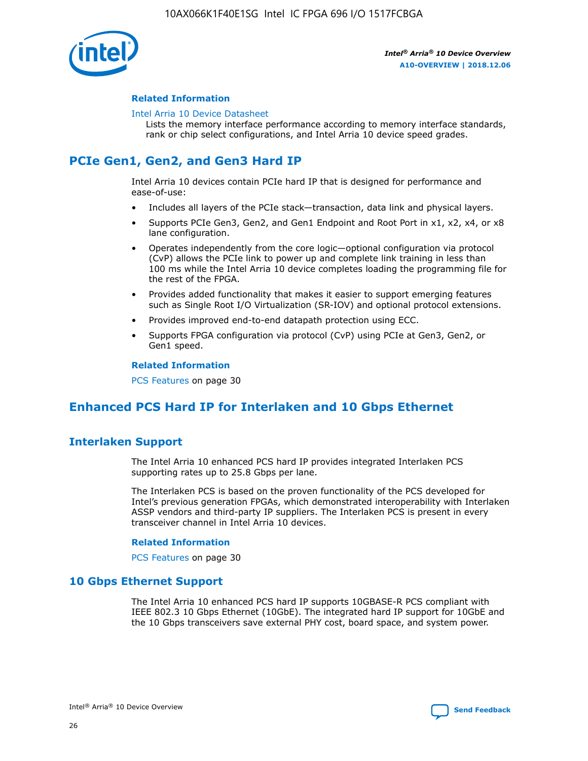

#### **Related Information**

#### [Intel Arria 10 Device Datasheet](https://www.intel.com/content/www/us/en/programmable/documentation/mcn1413182292568.html#mcn1413182153340)

Lists the memory interface performance according to memory interface standards, rank or chip select configurations, and Intel Arria 10 device speed grades.

## **PCIe Gen1, Gen2, and Gen3 Hard IP**

Intel Arria 10 devices contain PCIe hard IP that is designed for performance and ease-of-use:

- Includes all layers of the PCIe stack—transaction, data link and physical layers.
- Supports PCIe Gen3, Gen2, and Gen1 Endpoint and Root Port in x1, x2, x4, or x8 lane configuration.
- Operates independently from the core logic—optional configuration via protocol (CvP) allows the PCIe link to power up and complete link training in less than 100 ms while the Intel Arria 10 device completes loading the programming file for the rest of the FPGA.
- Provides added functionality that makes it easier to support emerging features such as Single Root I/O Virtualization (SR-IOV) and optional protocol extensions.
- Provides improved end-to-end datapath protection using ECC.
- Supports FPGA configuration via protocol (CvP) using PCIe at Gen3, Gen2, or Gen1 speed.

#### **Related Information**

PCS Features on page 30

## **Enhanced PCS Hard IP for Interlaken and 10 Gbps Ethernet**

## **Interlaken Support**

The Intel Arria 10 enhanced PCS hard IP provides integrated Interlaken PCS supporting rates up to 25.8 Gbps per lane.

The Interlaken PCS is based on the proven functionality of the PCS developed for Intel's previous generation FPGAs, which demonstrated interoperability with Interlaken ASSP vendors and third-party IP suppliers. The Interlaken PCS is present in every transceiver channel in Intel Arria 10 devices.

#### **Related Information**

PCS Features on page 30

#### **10 Gbps Ethernet Support**

The Intel Arria 10 enhanced PCS hard IP supports 10GBASE-R PCS compliant with IEEE 802.3 10 Gbps Ethernet (10GbE). The integrated hard IP support for 10GbE and the 10 Gbps transceivers save external PHY cost, board space, and system power.

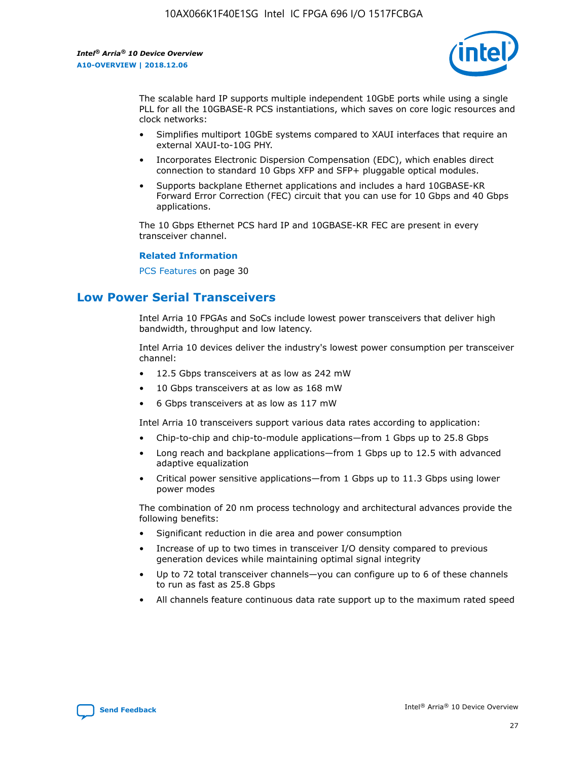

The scalable hard IP supports multiple independent 10GbE ports while using a single PLL for all the 10GBASE-R PCS instantiations, which saves on core logic resources and clock networks:

- Simplifies multiport 10GbE systems compared to XAUI interfaces that require an external XAUI-to-10G PHY.
- Incorporates Electronic Dispersion Compensation (EDC), which enables direct connection to standard 10 Gbps XFP and SFP+ pluggable optical modules.
- Supports backplane Ethernet applications and includes a hard 10GBASE-KR Forward Error Correction (FEC) circuit that you can use for 10 Gbps and 40 Gbps applications.

The 10 Gbps Ethernet PCS hard IP and 10GBASE-KR FEC are present in every transceiver channel.

#### **Related Information**

PCS Features on page 30

## **Low Power Serial Transceivers**

Intel Arria 10 FPGAs and SoCs include lowest power transceivers that deliver high bandwidth, throughput and low latency.

Intel Arria 10 devices deliver the industry's lowest power consumption per transceiver channel:

- 12.5 Gbps transceivers at as low as 242 mW
- 10 Gbps transceivers at as low as 168 mW
- 6 Gbps transceivers at as low as 117 mW

Intel Arria 10 transceivers support various data rates according to application:

- Chip-to-chip and chip-to-module applications—from 1 Gbps up to 25.8 Gbps
- Long reach and backplane applications—from 1 Gbps up to 12.5 with advanced adaptive equalization
- Critical power sensitive applications—from 1 Gbps up to 11.3 Gbps using lower power modes

The combination of 20 nm process technology and architectural advances provide the following benefits:

- Significant reduction in die area and power consumption
- Increase of up to two times in transceiver I/O density compared to previous generation devices while maintaining optimal signal integrity
- Up to 72 total transceiver channels—you can configure up to 6 of these channels to run as fast as 25.8 Gbps
- All channels feature continuous data rate support up to the maximum rated speed

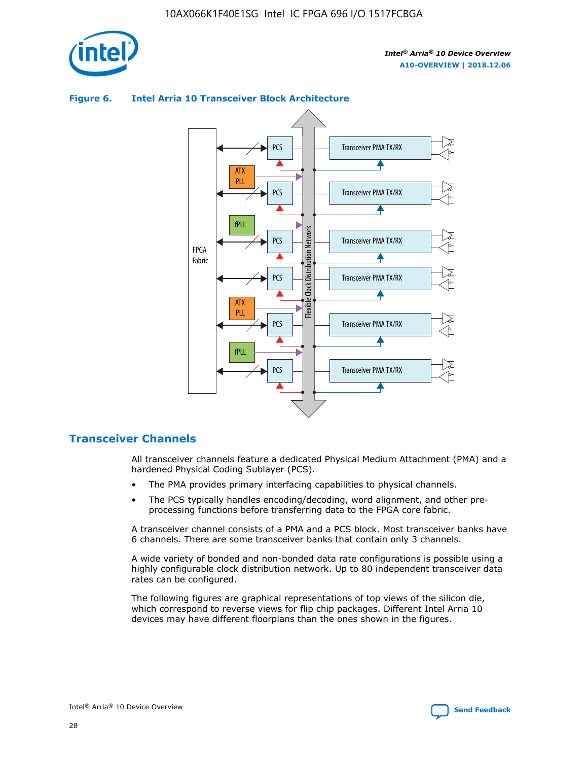

#### Transceiver PMA TX/RX PCS ATX PLL Transceiver PMA TX/RX PCS fPLL Network Flexible Clock Distribution Network PCS Transceiver PMA TX/RX FPGA **Clock Distribution** Fabric PCS Transceiver PMA TX/RX ATX Flexible PLL PCS Transceiver PMA TX/RX ▲ fPLL

#### **Figure 6. Intel Arria 10 Transceiver Block Architecture**

## **Transceiver Channels**

All transceiver channels feature a dedicated Physical Medium Attachment (PMA) and a hardened Physical Coding Sublayer (PCS).

Transceiver PMA TX/RX

4

• The PMA provides primary interfacing capabilities to physical channels.

PCS

• The PCS typically handles encoding/decoding, word alignment, and other preprocessing functions before transferring data to the FPGA core fabric.

A transceiver channel consists of a PMA and a PCS block. Most transceiver banks have 6 channels. There are some transceiver banks that contain only 3 channels.

A wide variety of bonded and non-bonded data rate configurations is possible using a highly configurable clock distribution network. Up to 80 independent transceiver data rates can be configured.

The following figures are graphical representations of top views of the silicon die, which correspond to reverse views for flip chip packages. Different Intel Arria 10 devices may have different floorplans than the ones shown in the figures.

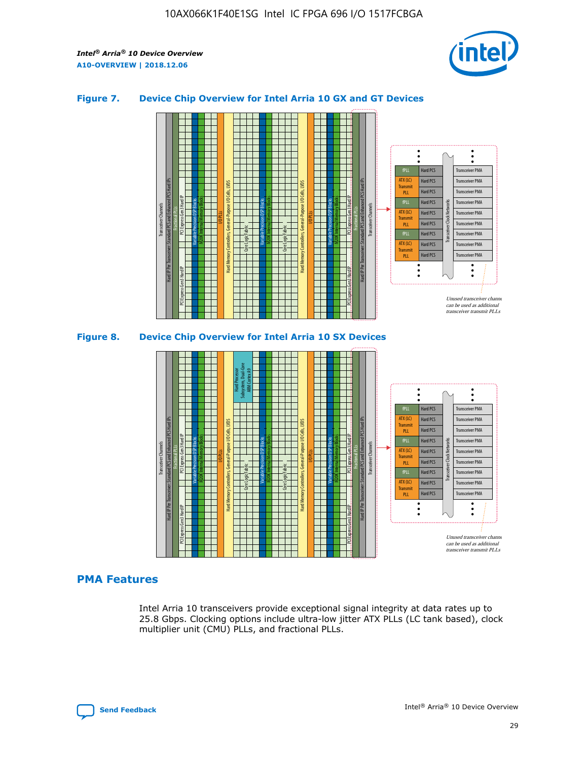

#### **Figure 7. Device Chip Overview for Intel Arria 10 GX and GT Devices**





#### **PMA Features**

Intel Arria 10 transceivers provide exceptional signal integrity at data rates up to 25.8 Gbps. Clocking options include ultra-low jitter ATX PLLs (LC tank based), clock multiplier unit (CMU) PLLs, and fractional PLLs.

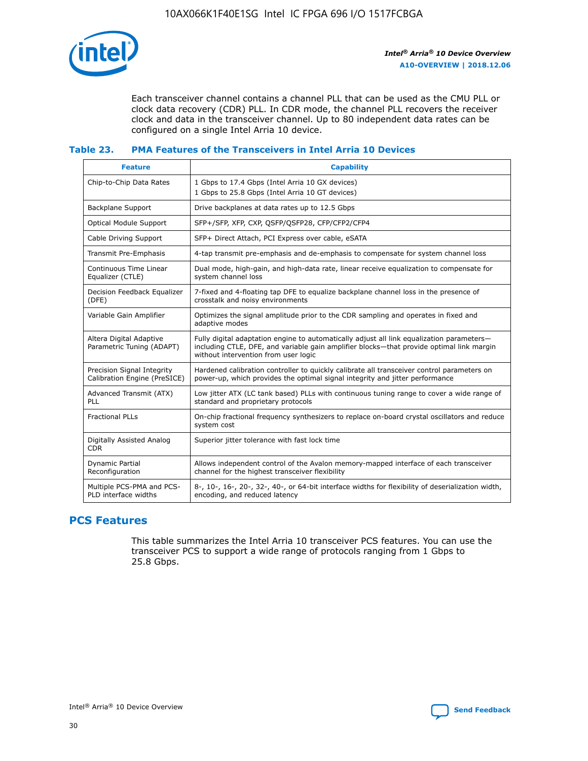

Each transceiver channel contains a channel PLL that can be used as the CMU PLL or clock data recovery (CDR) PLL. In CDR mode, the channel PLL recovers the receiver clock and data in the transceiver channel. Up to 80 independent data rates can be configured on a single Intel Arria 10 device.

#### **Table 23. PMA Features of the Transceivers in Intel Arria 10 Devices**

| <b>Feature</b>                                             | <b>Capability</b>                                                                                                                                                                                                             |
|------------------------------------------------------------|-------------------------------------------------------------------------------------------------------------------------------------------------------------------------------------------------------------------------------|
| Chip-to-Chip Data Rates                                    | 1 Gbps to 17.4 Gbps (Intel Arria 10 GX devices)<br>1 Gbps to 25.8 Gbps (Intel Arria 10 GT devices)                                                                                                                            |
| <b>Backplane Support</b>                                   | Drive backplanes at data rates up to 12.5 Gbps                                                                                                                                                                                |
| <b>Optical Module Support</b>                              | SFP+/SFP, XFP, CXP, QSFP/QSFP28, CFP/CFP2/CFP4                                                                                                                                                                                |
| Cable Driving Support                                      | SFP+ Direct Attach, PCI Express over cable, eSATA                                                                                                                                                                             |
| Transmit Pre-Emphasis                                      | 4-tap transmit pre-emphasis and de-emphasis to compensate for system channel loss                                                                                                                                             |
| Continuous Time Linear<br>Equalizer (CTLE)                 | Dual mode, high-gain, and high-data rate, linear receive equalization to compensate for<br>system channel loss                                                                                                                |
| Decision Feedback Equalizer<br>(DFE)                       | 7-fixed and 4-floating tap DFE to equalize backplane channel loss in the presence of<br>crosstalk and noisy environments                                                                                                      |
| Variable Gain Amplifier                                    | Optimizes the signal amplitude prior to the CDR sampling and operates in fixed and<br>adaptive modes                                                                                                                          |
| Altera Digital Adaptive<br>Parametric Tuning (ADAPT)       | Fully digital adaptation engine to automatically adjust all link equalization parameters-<br>including CTLE, DFE, and variable gain amplifier blocks—that provide optimal link margin<br>without intervention from user logic |
| Precision Signal Integrity<br>Calibration Engine (PreSICE) | Hardened calibration controller to quickly calibrate all transceiver control parameters on<br>power-up, which provides the optimal signal integrity and jitter performance                                                    |
| Advanced Transmit (ATX)<br><b>PLL</b>                      | Low jitter ATX (LC tank based) PLLs with continuous tuning range to cover a wide range of<br>standard and proprietary protocols                                                                                               |
| <b>Fractional PLLs</b>                                     | On-chip fractional frequency synthesizers to replace on-board crystal oscillators and reduce<br>system cost                                                                                                                   |
| Digitally Assisted Analog<br><b>CDR</b>                    | Superior jitter tolerance with fast lock time                                                                                                                                                                                 |
| <b>Dynamic Partial</b><br>Reconfiguration                  | Allows independent control of the Avalon memory-mapped interface of each transceiver<br>channel for the highest transceiver flexibility                                                                                       |
| Multiple PCS-PMA and PCS-<br>PLD interface widths          | 8-, 10-, 16-, 20-, 32-, 40-, or 64-bit interface widths for flexibility of deserialization width,<br>encoding, and reduced latency                                                                                            |

## **PCS Features**

This table summarizes the Intel Arria 10 transceiver PCS features. You can use the transceiver PCS to support a wide range of protocols ranging from 1 Gbps to 25.8 Gbps.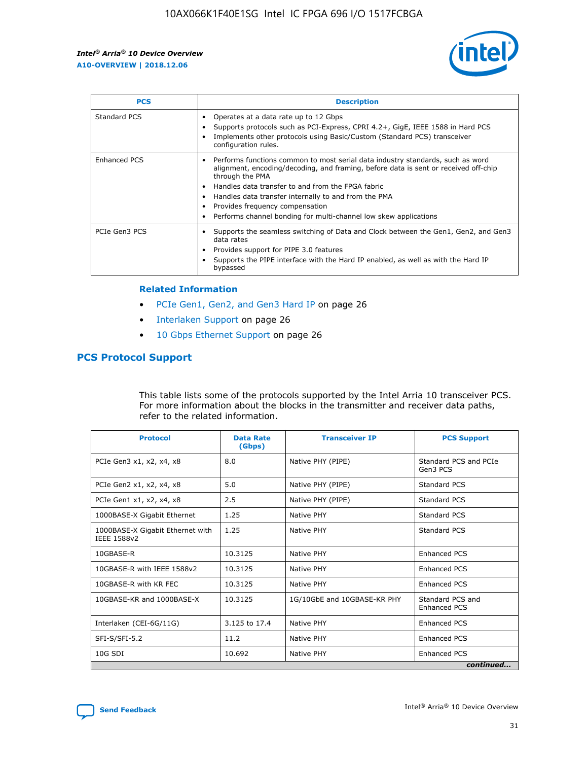

| <b>PCS</b>    | <b>Description</b>                                                                                                                                                                                                                                                                                                                                                                                             |
|---------------|----------------------------------------------------------------------------------------------------------------------------------------------------------------------------------------------------------------------------------------------------------------------------------------------------------------------------------------------------------------------------------------------------------------|
| Standard PCS  | Operates at a data rate up to 12 Gbps<br>Supports protocols such as PCI-Express, CPRI 4.2+, GigE, IEEE 1588 in Hard PCS<br>Implements other protocols using Basic/Custom (Standard PCS) transceiver<br>configuration rules.                                                                                                                                                                                    |
| Enhanced PCS  | Performs functions common to most serial data industry standards, such as word<br>alignment, encoding/decoding, and framing, before data is sent or received off-chip<br>through the PMA<br>• Handles data transfer to and from the FPGA fabric<br>Handles data transfer internally to and from the PMA<br>Provides frequency compensation<br>Performs channel bonding for multi-channel low skew applications |
| PCIe Gen3 PCS | Supports the seamless switching of Data and Clock between the Gen1, Gen2, and Gen3<br>data rates<br>Provides support for PIPE 3.0 features<br>Supports the PIPE interface with the Hard IP enabled, as well as with the Hard IP<br>bypassed                                                                                                                                                                    |

#### **Related Information**

- PCIe Gen1, Gen2, and Gen3 Hard IP on page 26
- Interlaken Support on page 26
- 10 Gbps Ethernet Support on page 26

#### **PCS Protocol Support**

This table lists some of the protocols supported by the Intel Arria 10 transceiver PCS. For more information about the blocks in the transmitter and receiver data paths, refer to the related information.

| <b>Protocol</b>                                 | <b>Data Rate</b><br>(Gbps) | <b>Transceiver IP</b>       | <b>PCS Support</b>                      |
|-------------------------------------------------|----------------------------|-----------------------------|-----------------------------------------|
| PCIe Gen3 x1, x2, x4, x8                        | 8.0                        | Native PHY (PIPE)           | Standard PCS and PCIe<br>Gen3 PCS       |
| PCIe Gen2 x1, x2, x4, x8                        | 5.0                        | Native PHY (PIPE)           | <b>Standard PCS</b>                     |
| PCIe Gen1 x1, x2, x4, x8                        | 2.5                        | Native PHY (PIPE)           | Standard PCS                            |
| 1000BASE-X Gigabit Ethernet                     | 1.25                       | Native PHY                  | <b>Standard PCS</b>                     |
| 1000BASE-X Gigabit Ethernet with<br>IEEE 1588v2 | 1.25                       | Native PHY                  | Standard PCS                            |
| 10GBASE-R                                       | 10.3125                    | Native PHY                  | <b>Enhanced PCS</b>                     |
| 10GBASE-R with IEEE 1588v2                      | 10.3125                    | Native PHY                  | <b>Enhanced PCS</b>                     |
| 10GBASE-R with KR FEC                           | 10.3125                    | Native PHY                  | <b>Enhanced PCS</b>                     |
| 10GBASE-KR and 1000BASE-X                       | 10.3125                    | 1G/10GbE and 10GBASE-KR PHY | Standard PCS and<br><b>Enhanced PCS</b> |
| Interlaken (CEI-6G/11G)                         | 3.125 to 17.4              | Native PHY                  | <b>Enhanced PCS</b>                     |
| SFI-S/SFI-5.2                                   | 11.2                       | Native PHY                  | <b>Enhanced PCS</b>                     |
| $10G$ SDI                                       | 10.692                     | Native PHY                  | <b>Enhanced PCS</b>                     |
|                                                 |                            |                             | continued                               |

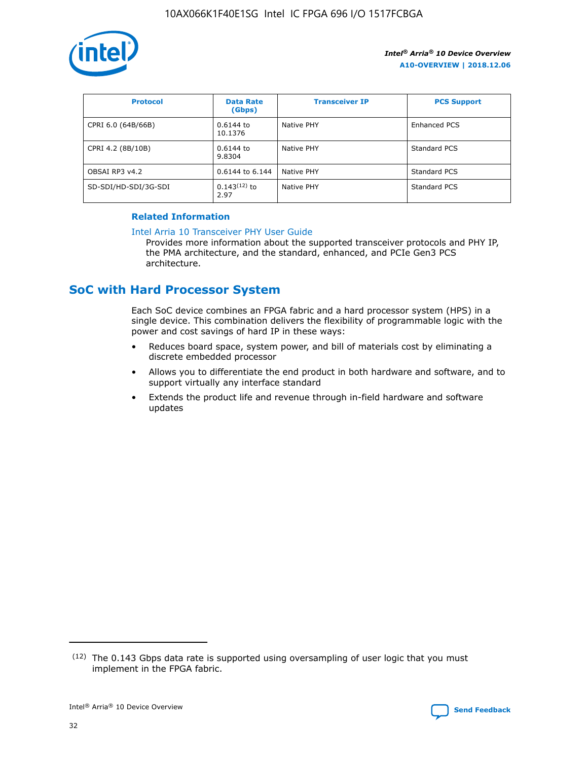

| <b>Protocol</b>      | <b>Data Rate</b><br>(Gbps) | <b>Transceiver IP</b> | <b>PCS Support</b> |
|----------------------|----------------------------|-----------------------|--------------------|
| CPRI 6.0 (64B/66B)   | 0.6144 to<br>10.1376       | Native PHY            | Enhanced PCS       |
| CPRI 4.2 (8B/10B)    | 0.6144 to<br>9.8304        | Native PHY            | Standard PCS       |
| OBSAI RP3 v4.2       | 0.6144 to 6.144            | Native PHY            | Standard PCS       |
| SD-SDI/HD-SDI/3G-SDI | $0.143(12)$ to<br>2.97     | Native PHY            | Standard PCS       |

#### **Related Information**

#### [Intel Arria 10 Transceiver PHY User Guide](https://www.intel.com/content/www/us/en/programmable/documentation/nik1398707230472.html#nik1398707091164)

Provides more information about the supported transceiver protocols and PHY IP, the PMA architecture, and the standard, enhanced, and PCIe Gen3 PCS architecture.

## **SoC with Hard Processor System**

Each SoC device combines an FPGA fabric and a hard processor system (HPS) in a single device. This combination delivers the flexibility of programmable logic with the power and cost savings of hard IP in these ways:

- Reduces board space, system power, and bill of materials cost by eliminating a discrete embedded processor
- Allows you to differentiate the end product in both hardware and software, and to support virtually any interface standard
- Extends the product life and revenue through in-field hardware and software updates

<sup>(12)</sup> The 0.143 Gbps data rate is supported using oversampling of user logic that you must implement in the FPGA fabric.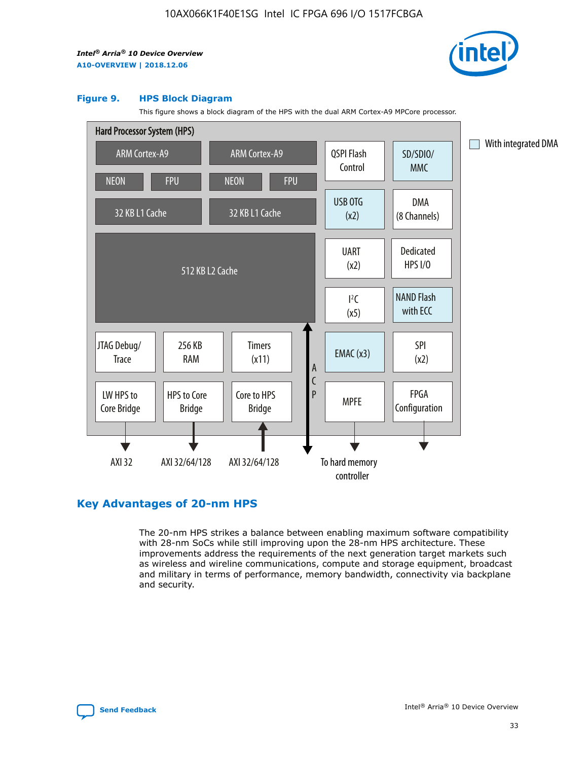

#### **Figure 9. HPS Block Diagram**

This figure shows a block diagram of the HPS with the dual ARM Cortex-A9 MPCore processor.



## **Key Advantages of 20-nm HPS**

The 20-nm HPS strikes a balance between enabling maximum software compatibility with 28-nm SoCs while still improving upon the 28-nm HPS architecture. These improvements address the requirements of the next generation target markets such as wireless and wireline communications, compute and storage equipment, broadcast and military in terms of performance, memory bandwidth, connectivity via backplane and security.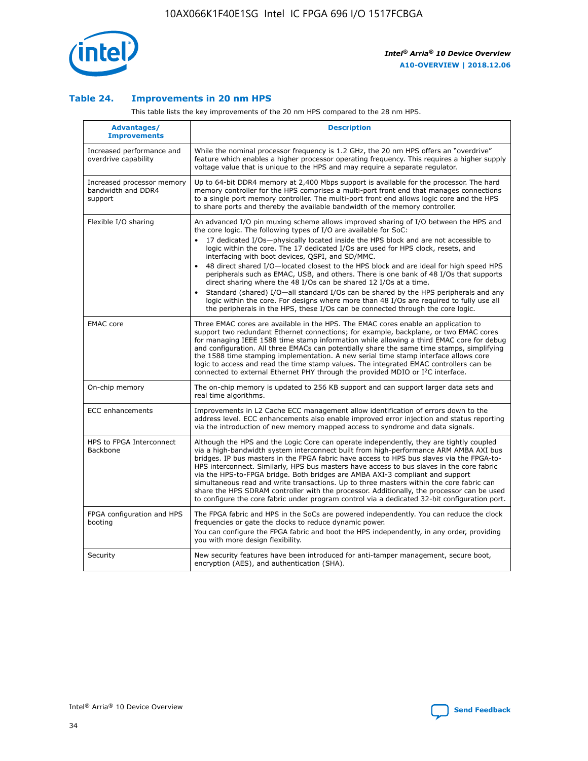

#### **Table 24. Improvements in 20 nm HPS**

This table lists the key improvements of the 20 nm HPS compared to the 28 nm HPS.

| Advantages/<br><b>Improvements</b>                          | <b>Description</b>                                                                                                                                                                                                                                                                                                                                                                                                                                                                                                                                                                                                                                                                                                                                                                                                                                                                                                      |
|-------------------------------------------------------------|-------------------------------------------------------------------------------------------------------------------------------------------------------------------------------------------------------------------------------------------------------------------------------------------------------------------------------------------------------------------------------------------------------------------------------------------------------------------------------------------------------------------------------------------------------------------------------------------------------------------------------------------------------------------------------------------------------------------------------------------------------------------------------------------------------------------------------------------------------------------------------------------------------------------------|
| Increased performance and<br>overdrive capability           | While the nominal processor frequency is 1.2 GHz, the 20 nm HPS offers an "overdrive"<br>feature which enables a higher processor operating frequency. This requires a higher supply<br>voltage value that is unique to the HPS and may require a separate regulator.                                                                                                                                                                                                                                                                                                                                                                                                                                                                                                                                                                                                                                                   |
| Increased processor memory<br>bandwidth and DDR4<br>support | Up to 64-bit DDR4 memory at 2,400 Mbps support is available for the processor. The hard<br>memory controller for the HPS comprises a multi-port front end that manages connections<br>to a single port memory controller. The multi-port front end allows logic core and the HPS<br>to share ports and thereby the available bandwidth of the memory controller.                                                                                                                                                                                                                                                                                                                                                                                                                                                                                                                                                        |
| Flexible I/O sharing                                        | An advanced I/O pin muxing scheme allows improved sharing of I/O between the HPS and<br>the core logic. The following types of I/O are available for SoC:<br>17 dedicated I/Os-physically located inside the HPS block and are not accessible to<br>logic within the core. The 17 dedicated I/Os are used for HPS clock, resets, and<br>interfacing with boot devices, QSPI, and SD/MMC.<br>48 direct shared I/O-located closest to the HPS block and are ideal for high speed HPS<br>peripherals such as EMAC, USB, and others. There is one bank of 48 I/Os that supports<br>direct sharing where the 48 I/Os can be shared 12 I/Os at a time.<br>Standard (shared) I/O-all standard I/Os can be shared by the HPS peripherals and any<br>logic within the core. For designs where more than 48 I/Os are reguired to fully use all<br>the peripherals in the HPS, these I/Os can be connected through the core logic. |
| <b>EMAC</b> core                                            | Three EMAC cores are available in the HPS. The EMAC cores enable an application to<br>support two redundant Ethernet connections; for example, backplane, or two EMAC cores<br>for managing IEEE 1588 time stamp information while allowing a third EMAC core for debug<br>and configuration. All three EMACs can potentially share the same time stamps, simplifying<br>the 1588 time stamping implementation. A new serial time stamp interface allows core<br>logic to access and read the time stamp values. The integrated EMAC controllers can be<br>connected to external Ethernet PHY through the provided MDIO or I <sup>2</sup> C interface.                                                                                                                                                                                                                                                                  |
| On-chip memory                                              | The on-chip memory is updated to 256 KB support and can support larger data sets and<br>real time algorithms.                                                                                                                                                                                                                                                                                                                                                                                                                                                                                                                                                                                                                                                                                                                                                                                                           |
| <b>ECC</b> enhancements                                     | Improvements in L2 Cache ECC management allow identification of errors down to the<br>address level. ECC enhancements also enable improved error injection and status reporting<br>via the introduction of new memory mapped access to syndrome and data signals.                                                                                                                                                                                                                                                                                                                                                                                                                                                                                                                                                                                                                                                       |
| HPS to FPGA Interconnect<br>Backbone                        | Although the HPS and the Logic Core can operate independently, they are tightly coupled<br>via a high-bandwidth system interconnect built from high-performance ARM AMBA AXI bus<br>bridges. IP bus masters in the FPGA fabric have access to HPS bus slaves via the FPGA-to-<br>HPS interconnect. Similarly, HPS bus masters have access to bus slaves in the core fabric<br>via the HPS-to-FPGA bridge. Both bridges are AMBA AXI-3 compliant and support<br>simultaneous read and write transactions. Up to three masters within the core fabric can<br>share the HPS SDRAM controller with the processor. Additionally, the processor can be used<br>to configure the core fabric under program control via a dedicated 32-bit configuration port.                                                                                                                                                                  |
| FPGA configuration and HPS<br>booting                       | The FPGA fabric and HPS in the SoCs are powered independently. You can reduce the clock<br>frequencies or gate the clocks to reduce dynamic power.<br>You can configure the FPGA fabric and boot the HPS independently, in any order, providing<br>you with more design flexibility.                                                                                                                                                                                                                                                                                                                                                                                                                                                                                                                                                                                                                                    |
| Security                                                    | New security features have been introduced for anti-tamper management, secure boot,<br>encryption (AES), and authentication (SHA).                                                                                                                                                                                                                                                                                                                                                                                                                                                                                                                                                                                                                                                                                                                                                                                      |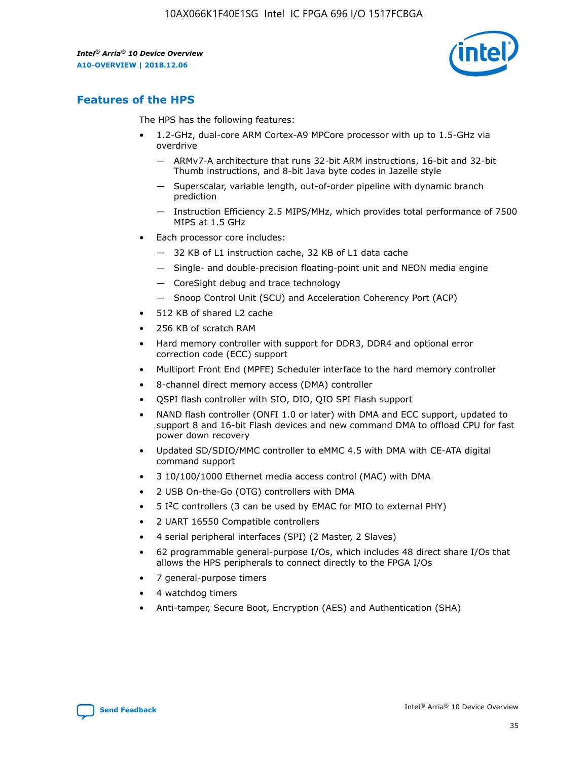

## **Features of the HPS**

The HPS has the following features:

- 1.2-GHz, dual-core ARM Cortex-A9 MPCore processor with up to 1.5-GHz via overdrive
	- ARMv7-A architecture that runs 32-bit ARM instructions, 16-bit and 32-bit Thumb instructions, and 8-bit Java byte codes in Jazelle style
	- Superscalar, variable length, out-of-order pipeline with dynamic branch prediction
	- Instruction Efficiency 2.5 MIPS/MHz, which provides total performance of 7500 MIPS at 1.5 GHz
- Each processor core includes:
	- 32 KB of L1 instruction cache, 32 KB of L1 data cache
	- Single- and double-precision floating-point unit and NEON media engine
	- CoreSight debug and trace technology
	- Snoop Control Unit (SCU) and Acceleration Coherency Port (ACP)
- 512 KB of shared L2 cache
- 256 KB of scratch RAM
- Hard memory controller with support for DDR3, DDR4 and optional error correction code (ECC) support
- Multiport Front End (MPFE) Scheduler interface to the hard memory controller
- 8-channel direct memory access (DMA) controller
- QSPI flash controller with SIO, DIO, QIO SPI Flash support
- NAND flash controller (ONFI 1.0 or later) with DMA and ECC support, updated to support 8 and 16-bit Flash devices and new command DMA to offload CPU for fast power down recovery
- Updated SD/SDIO/MMC controller to eMMC 4.5 with DMA with CE-ATA digital command support
- 3 10/100/1000 Ethernet media access control (MAC) with DMA
- 2 USB On-the-Go (OTG) controllers with DMA
- $\bullet$  5 I<sup>2</sup>C controllers (3 can be used by EMAC for MIO to external PHY)
- 2 UART 16550 Compatible controllers
- 4 serial peripheral interfaces (SPI) (2 Master, 2 Slaves)
- 62 programmable general-purpose I/Os, which includes 48 direct share I/Os that allows the HPS peripherals to connect directly to the FPGA I/Os
- 7 general-purpose timers
- 4 watchdog timers
- Anti-tamper, Secure Boot, Encryption (AES) and Authentication (SHA)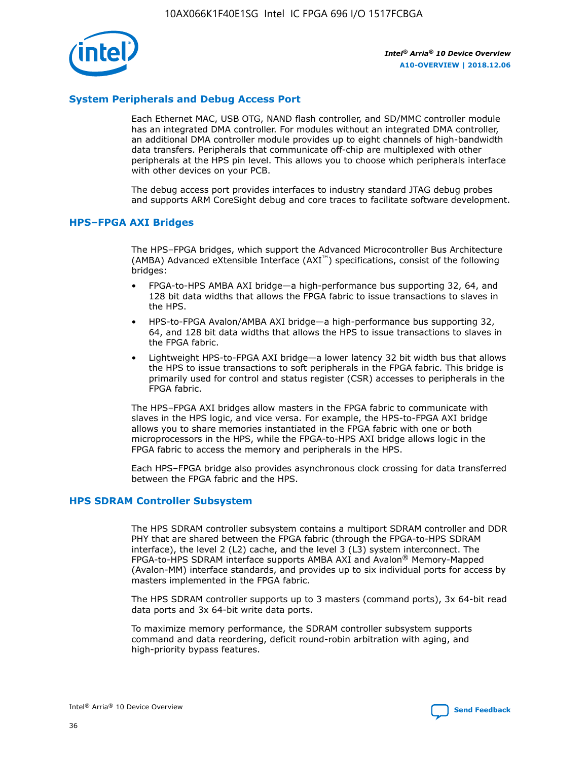

#### **System Peripherals and Debug Access Port**

Each Ethernet MAC, USB OTG, NAND flash controller, and SD/MMC controller module has an integrated DMA controller. For modules without an integrated DMA controller, an additional DMA controller module provides up to eight channels of high-bandwidth data transfers. Peripherals that communicate off-chip are multiplexed with other peripherals at the HPS pin level. This allows you to choose which peripherals interface with other devices on your PCB.

The debug access port provides interfaces to industry standard JTAG debug probes and supports ARM CoreSight debug and core traces to facilitate software development.

#### **HPS–FPGA AXI Bridges**

The HPS–FPGA bridges, which support the Advanced Microcontroller Bus Architecture (AMBA) Advanced eXtensible Interface (AXI™) specifications, consist of the following bridges:

- FPGA-to-HPS AMBA AXI bridge—a high-performance bus supporting 32, 64, and 128 bit data widths that allows the FPGA fabric to issue transactions to slaves in the HPS.
- HPS-to-FPGA Avalon/AMBA AXI bridge—a high-performance bus supporting 32, 64, and 128 bit data widths that allows the HPS to issue transactions to slaves in the FPGA fabric.
- Lightweight HPS-to-FPGA AXI bridge—a lower latency 32 bit width bus that allows the HPS to issue transactions to soft peripherals in the FPGA fabric. This bridge is primarily used for control and status register (CSR) accesses to peripherals in the FPGA fabric.

The HPS–FPGA AXI bridges allow masters in the FPGA fabric to communicate with slaves in the HPS logic, and vice versa. For example, the HPS-to-FPGA AXI bridge allows you to share memories instantiated in the FPGA fabric with one or both microprocessors in the HPS, while the FPGA-to-HPS AXI bridge allows logic in the FPGA fabric to access the memory and peripherals in the HPS.

Each HPS–FPGA bridge also provides asynchronous clock crossing for data transferred between the FPGA fabric and the HPS.

#### **HPS SDRAM Controller Subsystem**

The HPS SDRAM controller subsystem contains a multiport SDRAM controller and DDR PHY that are shared between the FPGA fabric (through the FPGA-to-HPS SDRAM interface), the level 2 (L2) cache, and the level 3 (L3) system interconnect. The FPGA-to-HPS SDRAM interface supports AMBA AXI and Avalon® Memory-Mapped (Avalon-MM) interface standards, and provides up to six individual ports for access by masters implemented in the FPGA fabric.

The HPS SDRAM controller supports up to 3 masters (command ports), 3x 64-bit read data ports and 3x 64-bit write data ports.

To maximize memory performance, the SDRAM controller subsystem supports command and data reordering, deficit round-robin arbitration with aging, and high-priority bypass features.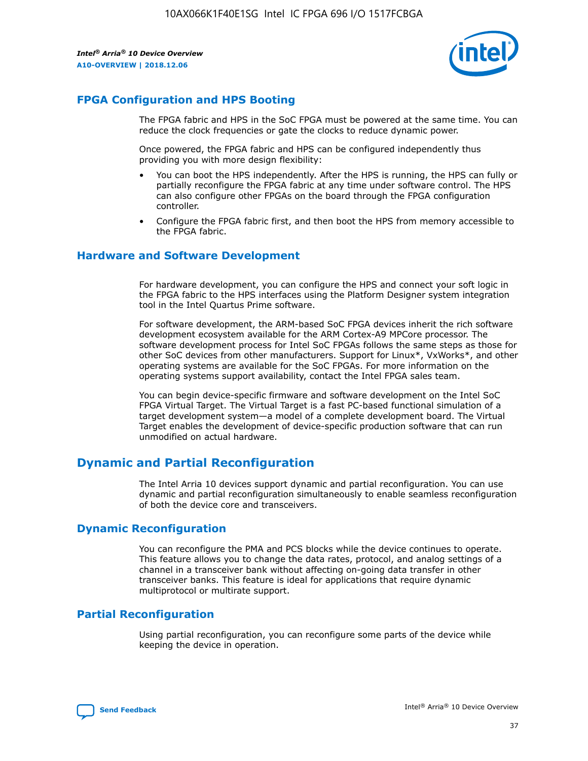

## **FPGA Configuration and HPS Booting**

The FPGA fabric and HPS in the SoC FPGA must be powered at the same time. You can reduce the clock frequencies or gate the clocks to reduce dynamic power.

Once powered, the FPGA fabric and HPS can be configured independently thus providing you with more design flexibility:

- You can boot the HPS independently. After the HPS is running, the HPS can fully or partially reconfigure the FPGA fabric at any time under software control. The HPS can also configure other FPGAs on the board through the FPGA configuration controller.
- Configure the FPGA fabric first, and then boot the HPS from memory accessible to the FPGA fabric.

#### **Hardware and Software Development**

For hardware development, you can configure the HPS and connect your soft logic in the FPGA fabric to the HPS interfaces using the Platform Designer system integration tool in the Intel Quartus Prime software.

For software development, the ARM-based SoC FPGA devices inherit the rich software development ecosystem available for the ARM Cortex-A9 MPCore processor. The software development process for Intel SoC FPGAs follows the same steps as those for other SoC devices from other manufacturers. Support for Linux\*, VxWorks\*, and other operating systems are available for the SoC FPGAs. For more information on the operating systems support availability, contact the Intel FPGA sales team.

You can begin device-specific firmware and software development on the Intel SoC FPGA Virtual Target. The Virtual Target is a fast PC-based functional simulation of a target development system—a model of a complete development board. The Virtual Target enables the development of device-specific production software that can run unmodified on actual hardware.

## **Dynamic and Partial Reconfiguration**

The Intel Arria 10 devices support dynamic and partial reconfiguration. You can use dynamic and partial reconfiguration simultaneously to enable seamless reconfiguration of both the device core and transceivers.

## **Dynamic Reconfiguration**

You can reconfigure the PMA and PCS blocks while the device continues to operate. This feature allows you to change the data rates, protocol, and analog settings of a channel in a transceiver bank without affecting on-going data transfer in other transceiver banks. This feature is ideal for applications that require dynamic multiprotocol or multirate support.

## **Partial Reconfiguration**

Using partial reconfiguration, you can reconfigure some parts of the device while keeping the device in operation.

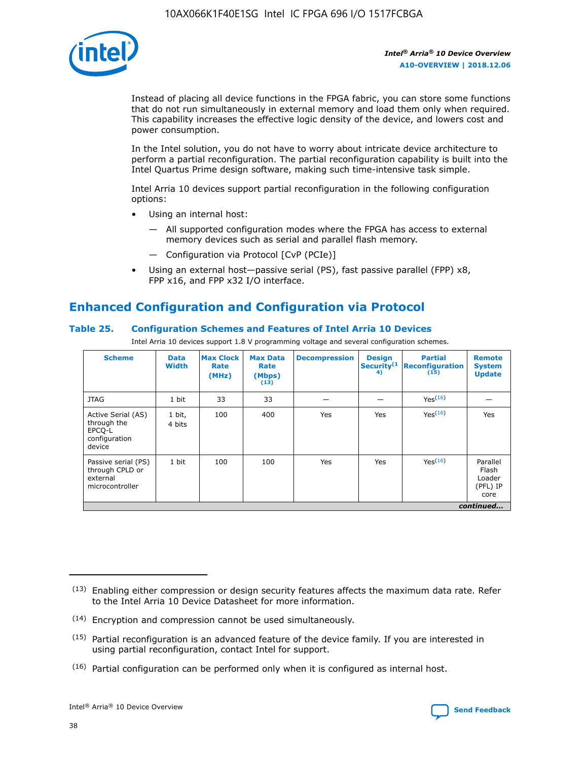

Instead of placing all device functions in the FPGA fabric, you can store some functions that do not run simultaneously in external memory and load them only when required. This capability increases the effective logic density of the device, and lowers cost and power consumption.

In the Intel solution, you do not have to worry about intricate device architecture to perform a partial reconfiguration. The partial reconfiguration capability is built into the Intel Quartus Prime design software, making such time-intensive task simple.

Intel Arria 10 devices support partial reconfiguration in the following configuration options:

- Using an internal host:
	- All supported configuration modes where the FPGA has access to external memory devices such as serial and parallel flash memory.
	- Configuration via Protocol [CvP (PCIe)]
- Using an external host—passive serial (PS), fast passive parallel (FPP) x8, FPP x16, and FPP x32 I/O interface.

## **Enhanced Configuration and Configuration via Protocol**

#### **Table 25. Configuration Schemes and Features of Intel Arria 10 Devices**

Intel Arria 10 devices support 1.8 V programming voltage and several configuration schemes.

| <b>Scheme</b>                                                          | <b>Data</b><br><b>Width</b> | <b>Max Clock</b><br>Rate<br>(MHz) | <b>Max Data</b><br>Rate<br>(Mbps)<br>(13) | <b>Decompression</b> | <b>Design</b><br>Security <sup>(1</sup><br>4) | <b>Partial</b><br><b>Reconfiguration</b><br>(15) | <b>Remote</b><br><b>System</b><br><b>Update</b> |
|------------------------------------------------------------------------|-----------------------------|-----------------------------------|-------------------------------------------|----------------------|-----------------------------------------------|--------------------------------------------------|-------------------------------------------------|
| <b>JTAG</b>                                                            | 1 bit                       | 33                                | 33                                        |                      |                                               | Yes(16)                                          |                                                 |
| Active Serial (AS)<br>through the<br>EPCO-L<br>configuration<br>device | 1 bit,<br>4 bits            | 100                               | 400                                       | Yes                  | Yes                                           | $Y_{PS}(16)$                                     | Yes                                             |
| Passive serial (PS)<br>through CPLD or<br>external<br>microcontroller  | 1 bit                       | 100                               | 100                                       | Yes                  | Yes                                           | Yes(16)                                          | Parallel<br>Flash<br>Loader<br>(PFL) IP<br>core |
|                                                                        |                             |                                   |                                           |                      |                                               |                                                  | continued                                       |

<sup>(13)</sup> Enabling either compression or design security features affects the maximum data rate. Refer to the Intel Arria 10 Device Datasheet for more information.

<sup>(14)</sup> Encryption and compression cannot be used simultaneously.

 $(15)$  Partial reconfiguration is an advanced feature of the device family. If you are interested in using partial reconfiguration, contact Intel for support.

 $(16)$  Partial configuration can be performed only when it is configured as internal host.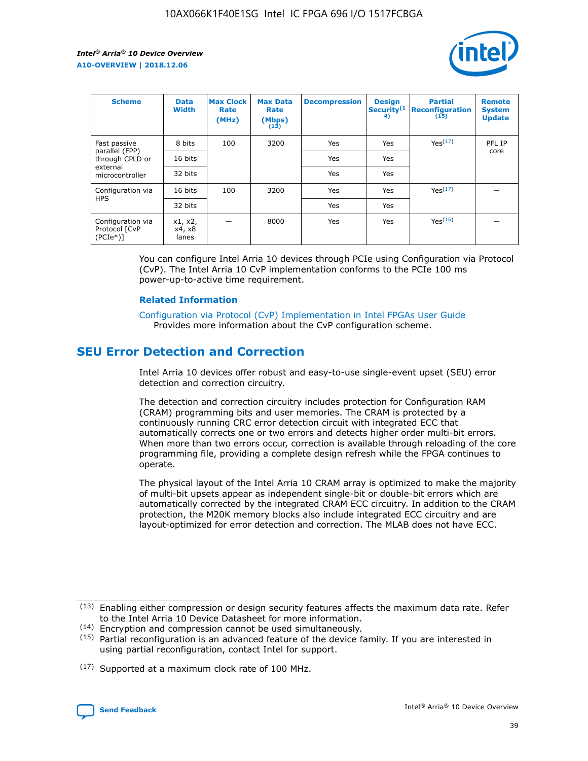

| <b>Scheme</b>                                   | <b>Data</b><br><b>Width</b> | <b>Max Clock</b><br>Rate<br>(MHz) | <b>Max Data</b><br>Rate<br>(Mbps)<br>(13) | <b>Decompression</b> | <b>Design</b><br>Security <sup>(1</sup><br>4) | <b>Partial</b><br><b>Reconfiguration</b><br>(15) | <b>Remote</b><br><b>System</b><br><b>Update</b> |
|-------------------------------------------------|-----------------------------|-----------------------------------|-------------------------------------------|----------------------|-----------------------------------------------|--------------------------------------------------|-------------------------------------------------|
| Fast passive                                    | 8 bits                      | 100                               | 3200                                      | Yes                  | Yes                                           | Yes(17)                                          | PFL IP                                          |
| parallel (FPP)<br>through CPLD or               | 16 bits                     |                                   |                                           | Yes                  | Yes                                           |                                                  | core                                            |
| external<br>microcontroller                     | 32 bits                     |                                   |                                           | Yes                  | Yes                                           |                                                  |                                                 |
| Configuration via                               | 16 bits                     | 100                               | 3200                                      | Yes                  | Yes                                           | Yes <sup>(17)</sup>                              |                                                 |
| <b>HPS</b>                                      | 32 bits                     |                                   |                                           | Yes                  | Yes                                           |                                                  |                                                 |
| Configuration via<br>Protocol [CvP<br>$(PCIe*)$ | x1, x2,<br>x4, x8<br>lanes  |                                   | 8000                                      | Yes                  | Yes                                           | Yes(16)                                          |                                                 |

You can configure Intel Arria 10 devices through PCIe using Configuration via Protocol (CvP). The Intel Arria 10 CvP implementation conforms to the PCIe 100 ms power-up-to-active time requirement.

#### **Related Information**

[Configuration via Protocol \(CvP\) Implementation in Intel FPGAs User Guide](https://www.intel.com/content/www/us/en/programmable/documentation/dsu1441819344145.html#dsu1442269728522) Provides more information about the CvP configuration scheme.

## **SEU Error Detection and Correction**

Intel Arria 10 devices offer robust and easy-to-use single-event upset (SEU) error detection and correction circuitry.

The detection and correction circuitry includes protection for Configuration RAM (CRAM) programming bits and user memories. The CRAM is protected by a continuously running CRC error detection circuit with integrated ECC that automatically corrects one or two errors and detects higher order multi-bit errors. When more than two errors occur, correction is available through reloading of the core programming file, providing a complete design refresh while the FPGA continues to operate.

The physical layout of the Intel Arria 10 CRAM array is optimized to make the majority of multi-bit upsets appear as independent single-bit or double-bit errors which are automatically corrected by the integrated CRAM ECC circuitry. In addition to the CRAM protection, the M20K memory blocks also include integrated ECC circuitry and are layout-optimized for error detection and correction. The MLAB does not have ECC.

(14) Encryption and compression cannot be used simultaneously.

<sup>(17)</sup> Supported at a maximum clock rate of 100 MHz.



 $(13)$  Enabling either compression or design security features affects the maximum data rate. Refer to the Intel Arria 10 Device Datasheet for more information.

 $(15)$  Partial reconfiguration is an advanced feature of the device family. If you are interested in using partial reconfiguration, contact Intel for support.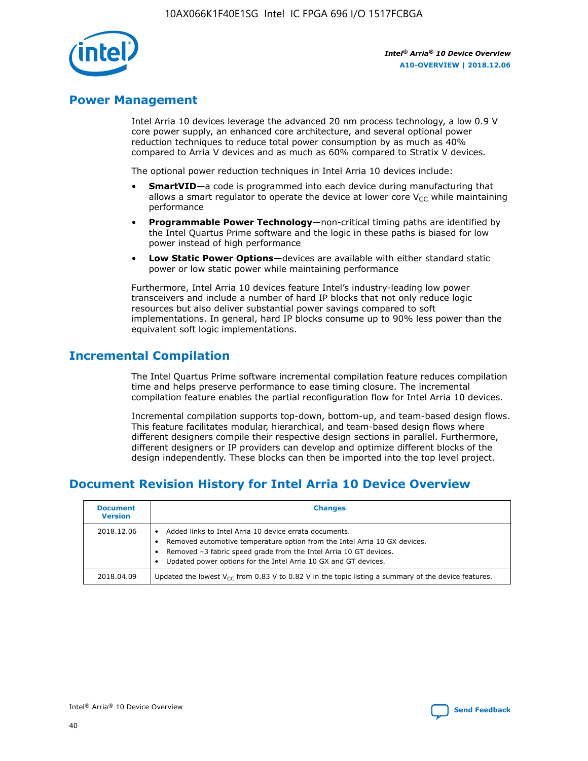

## **Power Management**

Intel Arria 10 devices leverage the advanced 20 nm process technology, a low 0.9 V core power supply, an enhanced core architecture, and several optional power reduction techniques to reduce total power consumption by as much as 40% compared to Arria V devices and as much as 60% compared to Stratix V devices.

The optional power reduction techniques in Intel Arria 10 devices include:

- **SmartVID**—a code is programmed into each device during manufacturing that allows a smart regulator to operate the device at lower core  $V_{CC}$  while maintaining performance
- **Programmable Power Technology**—non-critical timing paths are identified by the Intel Quartus Prime software and the logic in these paths is biased for low power instead of high performance
- **Low Static Power Options**—devices are available with either standard static power or low static power while maintaining performance

Furthermore, Intel Arria 10 devices feature Intel's industry-leading low power transceivers and include a number of hard IP blocks that not only reduce logic resources but also deliver substantial power savings compared to soft implementations. In general, hard IP blocks consume up to 90% less power than the equivalent soft logic implementations.

## **Incremental Compilation**

The Intel Quartus Prime software incremental compilation feature reduces compilation time and helps preserve performance to ease timing closure. The incremental compilation feature enables the partial reconfiguration flow for Intel Arria 10 devices.

Incremental compilation supports top-down, bottom-up, and team-based design flows. This feature facilitates modular, hierarchical, and team-based design flows where different designers compile their respective design sections in parallel. Furthermore, different designers or IP providers can develop and optimize different blocks of the design independently. These blocks can then be imported into the top level project.

## **Document Revision History for Intel Arria 10 Device Overview**

| <b>Document</b><br><b>Version</b> | <b>Changes</b>                                                                                                                                                                                                                                                              |
|-----------------------------------|-----------------------------------------------------------------------------------------------------------------------------------------------------------------------------------------------------------------------------------------------------------------------------|
| 2018.12.06                        | Added links to Intel Arria 10 device errata documents.<br>Removed automotive temperature option from the Intel Arria 10 GX devices.<br>Removed -3 fabric speed grade from the Intel Arria 10 GT devices.<br>Updated power options for the Intel Arria 10 GX and GT devices. |
| 2018.04.09                        | Updated the lowest $V_{CC}$ from 0.83 V to 0.82 V in the topic listing a summary of the device features.                                                                                                                                                                    |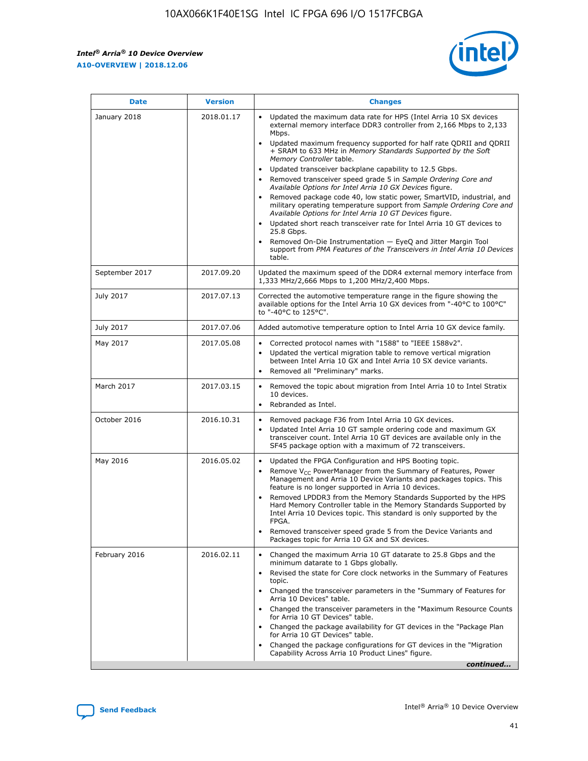$\mathsf{r}$ 



| <b>Date</b>    | <b>Version</b> | <b>Changes</b>                                                                                                                                                                                                                                                                                                                                                                                                                                                                                                                                                                                                                                                                                                                                                                                                                                                                                                                                                                         |
|----------------|----------------|----------------------------------------------------------------------------------------------------------------------------------------------------------------------------------------------------------------------------------------------------------------------------------------------------------------------------------------------------------------------------------------------------------------------------------------------------------------------------------------------------------------------------------------------------------------------------------------------------------------------------------------------------------------------------------------------------------------------------------------------------------------------------------------------------------------------------------------------------------------------------------------------------------------------------------------------------------------------------------------|
| January 2018   | 2018.01.17     | Updated the maximum data rate for HPS (Intel Arria 10 SX devices<br>external memory interface DDR3 controller from 2,166 Mbps to 2,133<br>Mbps.<br>Updated maximum frequency supported for half rate QDRII and QDRII<br>$\bullet$<br>+ SRAM to 633 MHz in Memory Standards Supported by the Soft<br>Memory Controller table.<br>Updated transceiver backplane capability to 12.5 Gbps.<br>$\bullet$<br>Removed transceiver speed grade 5 in Sample Ordering Core and<br>Available Options for Intel Arria 10 GX Devices figure.<br>Removed package code 40, low static power, SmartVID, industrial, and<br>military operating temperature support from Sample Ordering Core and<br>Available Options for Intel Arria 10 GT Devices figure.<br>Updated short reach transceiver rate for Intel Arria 10 GT devices to<br>25.8 Gbps.<br>Removed On-Die Instrumentation - EyeQ and Jitter Margin Tool<br>support from PMA Features of the Transceivers in Intel Arria 10 Devices<br>table. |
| September 2017 | 2017.09.20     | Updated the maximum speed of the DDR4 external memory interface from<br>1,333 MHz/2,666 Mbps to 1,200 MHz/2,400 Mbps.                                                                                                                                                                                                                                                                                                                                                                                                                                                                                                                                                                                                                                                                                                                                                                                                                                                                  |
| July 2017      | 2017.07.13     | Corrected the automotive temperature range in the figure showing the<br>available options for the Intel Arria 10 GX devices from "-40°C to 100°C"<br>to "-40°C to 125°C".                                                                                                                                                                                                                                                                                                                                                                                                                                                                                                                                                                                                                                                                                                                                                                                                              |
| July 2017      | 2017.07.06     | Added automotive temperature option to Intel Arria 10 GX device family.                                                                                                                                                                                                                                                                                                                                                                                                                                                                                                                                                                                                                                                                                                                                                                                                                                                                                                                |
| May 2017       | 2017.05.08     | Corrected protocol names with "1588" to "IEEE 1588v2".<br>$\bullet$<br>Updated the vertical migration table to remove vertical migration<br>$\bullet$<br>between Intel Arria 10 GX and Intel Arria 10 SX device variants.<br>Removed all "Preliminary" marks.<br>$\bullet$                                                                                                                                                                                                                                                                                                                                                                                                                                                                                                                                                                                                                                                                                                             |
| March 2017     | 2017.03.15     | Removed the topic about migration from Intel Arria 10 to Intel Stratix<br>10 devices.<br>Rebranded as Intel.<br>$\bullet$                                                                                                                                                                                                                                                                                                                                                                                                                                                                                                                                                                                                                                                                                                                                                                                                                                                              |
| October 2016   | 2016.10.31     | Removed package F36 from Intel Arria 10 GX devices.<br>Updated Intel Arria 10 GT sample ordering code and maximum GX<br>$\bullet$<br>transceiver count. Intel Arria 10 GT devices are available only in the<br>SF45 package option with a maximum of 72 transceivers.                                                                                                                                                                                                                                                                                                                                                                                                                                                                                                                                                                                                                                                                                                                  |
| May 2016       | 2016.05.02     | Updated the FPGA Configuration and HPS Booting topic.<br>Remove $V_{CC}$ PowerManager from the Summary of Features, Power<br>$\bullet$<br>Management and Arria 10 Device Variants and packages topics. This<br>feature is no longer supported in Arria 10 devices.<br>Removed LPDDR3 from the Memory Standards Supported by the HPS<br>Hard Memory Controller table in the Memory Standards Supported by<br>Intel Arria 10 Devices topic. This standard is only supported by the<br>FPGA.<br>Removed transceiver speed grade 5 from the Device Variants and<br>Packages topic for Arria 10 GX and SX devices.                                                                                                                                                                                                                                                                                                                                                                          |
| February 2016  | 2016.02.11     | Changed the maximum Arria 10 GT datarate to 25.8 Gbps and the<br>minimum datarate to 1 Gbps globally.<br>Revised the state for Core clock networks in the Summary of Features<br>$\bullet$<br>topic.<br>• Changed the transceiver parameters in the "Summary of Features for<br>Arria 10 Devices" table.<br>Changed the transceiver parameters in the "Maximum Resource Counts"<br>$\bullet$<br>for Arria 10 GT Devices" table.<br>• Changed the package availability for GT devices in the "Package Plan<br>for Arria 10 GT Devices" table.<br>Changed the package configurations for GT devices in the "Migration"<br>Capability Across Arria 10 Product Lines" figure.<br>continued                                                                                                                                                                                                                                                                                                 |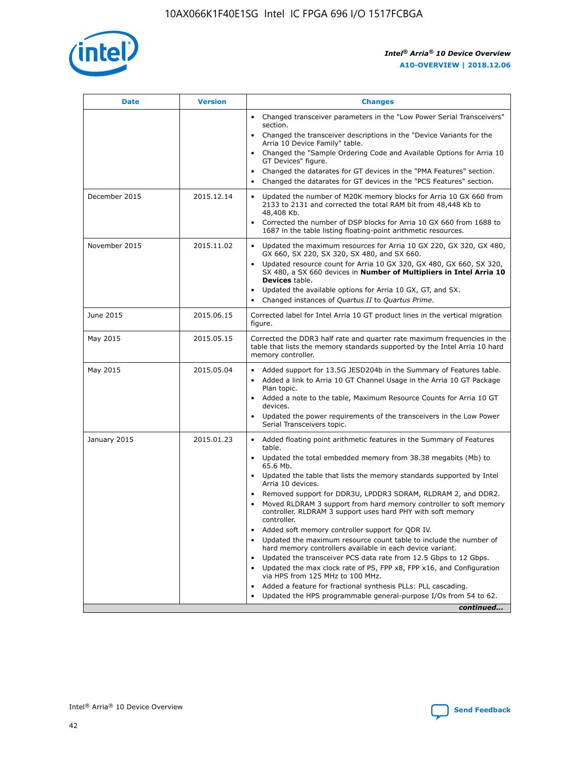

| <b>Date</b>   | <b>Version</b> | <b>Changes</b>                                                                                                                                                               |
|---------------|----------------|------------------------------------------------------------------------------------------------------------------------------------------------------------------------------|
|               |                | • Changed transceiver parameters in the "Low Power Serial Transceivers"<br>section.                                                                                          |
|               |                | • Changed the transceiver descriptions in the "Device Variants for the<br>Arria 10 Device Family" table.                                                                     |
|               |                | Changed the "Sample Ordering Code and Available Options for Arria 10<br>$\bullet$<br>GT Devices" figure.                                                                     |
|               |                | Changed the datarates for GT devices in the "PMA Features" section.                                                                                                          |
|               |                | Changed the datarates for GT devices in the "PCS Features" section.<br>$\bullet$                                                                                             |
| December 2015 | 2015.12.14     | Updated the number of M20K memory blocks for Arria 10 GX 660 from<br>2133 to 2131 and corrected the total RAM bit from 48,448 Kb to<br>48,408 Kb.                            |
|               |                | Corrected the number of DSP blocks for Arria 10 GX 660 from 1688 to<br>1687 in the table listing floating-point arithmetic resources.                                        |
| November 2015 | 2015.11.02     | Updated the maximum resources for Arria 10 GX 220, GX 320, GX 480,<br>$\bullet$<br>GX 660, SX 220, SX 320, SX 480, and SX 660.                                               |
|               |                | • Updated resource count for Arria 10 GX 320, GX 480, GX 660, SX 320,<br>SX 480, a SX 660 devices in Number of Multipliers in Intel Arria 10<br><b>Devices</b> table.        |
|               |                | Updated the available options for Arria 10 GX, GT, and SX.                                                                                                                   |
|               |                | Changed instances of Quartus II to Quartus Prime.<br>$\bullet$                                                                                                               |
| June 2015     | 2015.06.15     | Corrected label for Intel Arria 10 GT product lines in the vertical migration<br>figure.                                                                                     |
| May 2015      | 2015.05.15     | Corrected the DDR3 half rate and quarter rate maximum frequencies in the<br>table that lists the memory standards supported by the Intel Arria 10 hard<br>memory controller. |
| May 2015      | 2015.05.04     | • Added support for 13.5G JESD204b in the Summary of Features table.                                                                                                         |
|               |                | • Added a link to Arria 10 GT Channel Usage in the Arria 10 GT Package<br>Plan topic.                                                                                        |
|               |                | • Added a note to the table, Maximum Resource Counts for Arria 10 GT<br>devices.                                                                                             |
|               |                | • Updated the power requirements of the transceivers in the Low Power<br>Serial Transceivers topic.                                                                          |
| January 2015  | 2015.01.23     | • Added floating point arithmetic features in the Summary of Features<br>table.                                                                                              |
|               |                | • Updated the total embedded memory from 38.38 megabits (Mb) to<br>65.6 Mb.                                                                                                  |
|               |                | • Updated the table that lists the memory standards supported by Intel<br>Arria 10 devices.                                                                                  |
|               |                | Removed support for DDR3U, LPDDR3 SDRAM, RLDRAM 2, and DDR2.                                                                                                                 |
|               |                | Moved RLDRAM 3 support from hard memory controller to soft memory<br>controller. RLDRAM 3 support uses hard PHY with soft memory<br>controller.                              |
|               |                | Added soft memory controller support for QDR IV.<br>٠                                                                                                                        |
|               |                | Updated the maximum resource count table to include the number of<br>hard memory controllers available in each device variant.                                               |
|               |                | Updated the transceiver PCS data rate from 12.5 Gbps to 12 Gbps.<br>$\bullet$                                                                                                |
|               |                | Updated the max clock rate of PS, FPP x8, FPP x16, and Configuration<br>via HPS from 125 MHz to 100 MHz.                                                                     |
|               |                | Added a feature for fractional synthesis PLLs: PLL cascading.                                                                                                                |
|               |                | Updated the HPS programmable general-purpose I/Os from 54 to 62.<br>$\bullet$                                                                                                |
|               |                | continued                                                                                                                                                                    |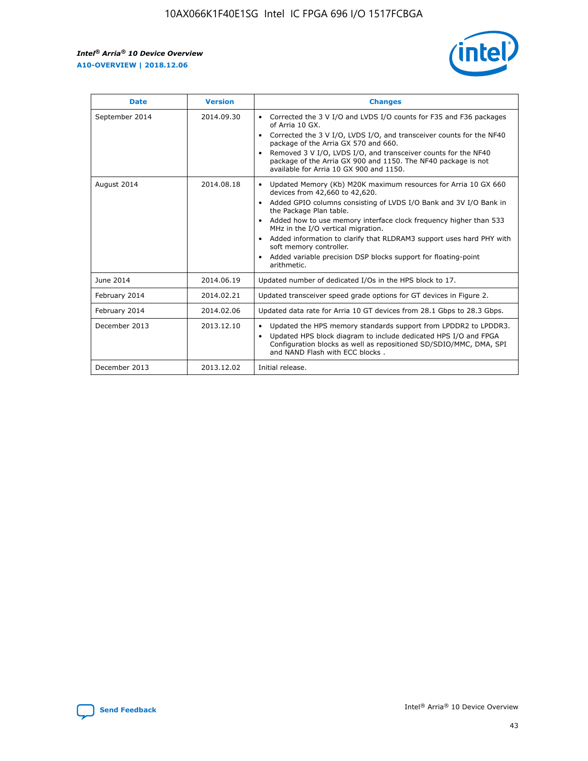r



| <b>Date</b>    | <b>Version</b> | <b>Changes</b>                                                                                                                                                                                                                                                                                                                                                                                                                                                                                                                                      |
|----------------|----------------|-----------------------------------------------------------------------------------------------------------------------------------------------------------------------------------------------------------------------------------------------------------------------------------------------------------------------------------------------------------------------------------------------------------------------------------------------------------------------------------------------------------------------------------------------------|
| September 2014 | 2014.09.30     | Corrected the 3 V I/O and LVDS I/O counts for F35 and F36 packages<br>$\bullet$<br>of Arria 10 GX.<br>Corrected the 3 V I/O, LVDS I/O, and transceiver counts for the NF40<br>$\bullet$<br>package of the Arria GX 570 and 660.<br>Removed 3 V I/O, LVDS I/O, and transceiver counts for the NF40<br>package of the Arria GX 900 and 1150. The NF40 package is not<br>available for Arria 10 GX 900 and 1150.                                                                                                                                       |
| August 2014    | 2014.08.18     | Updated Memory (Kb) M20K maximum resources for Arria 10 GX 660<br>devices from 42,660 to 42,620.<br>Added GPIO columns consisting of LVDS I/O Bank and 3V I/O Bank in<br>$\bullet$<br>the Package Plan table.<br>Added how to use memory interface clock frequency higher than 533<br>$\bullet$<br>MHz in the I/O vertical migration.<br>Added information to clarify that RLDRAM3 support uses hard PHY with<br>$\bullet$<br>soft memory controller.<br>Added variable precision DSP blocks support for floating-point<br>$\bullet$<br>arithmetic. |
| June 2014      | 2014.06.19     | Updated number of dedicated I/Os in the HPS block to 17.                                                                                                                                                                                                                                                                                                                                                                                                                                                                                            |
| February 2014  | 2014.02.21     | Updated transceiver speed grade options for GT devices in Figure 2.                                                                                                                                                                                                                                                                                                                                                                                                                                                                                 |
| February 2014  | 2014.02.06     | Updated data rate for Arria 10 GT devices from 28.1 Gbps to 28.3 Gbps.                                                                                                                                                                                                                                                                                                                                                                                                                                                                              |
| December 2013  | 2013.12.10     | Updated the HPS memory standards support from LPDDR2 to LPDDR3.<br>Updated HPS block diagram to include dedicated HPS I/O and FPGA<br>$\bullet$<br>Configuration blocks as well as repositioned SD/SDIO/MMC, DMA, SPI<br>and NAND Flash with ECC blocks.                                                                                                                                                                                                                                                                                            |
| December 2013  | 2013.12.02     | Initial release.                                                                                                                                                                                                                                                                                                                                                                                                                                                                                                                                    |